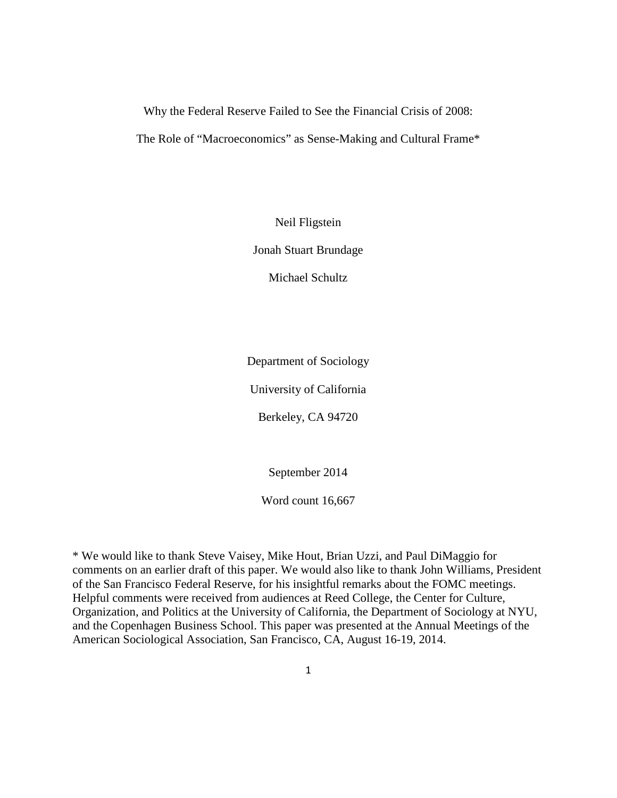Why the Federal Reserve Failed to See the Financial Crisis of 2008:

The Role of "Macroeconomics" as Sense-Making and Cultural Frame\*

Neil Fligstein

Jonah Stuart Brundage

Michael Schultz

Department of Sociology

University of California

Berkeley, CA 94720

September 2014

Word count 16,667

\* We would like to thank Steve Vaisey, Mike Hout, Brian Uzzi, and Paul DiMaggio for comments on an earlier draft of this paper. We would also like to thank John Williams, President of the San Francisco Federal Reserve, for his insightful remarks about the FOMC meetings. Helpful comments were received from audiences at Reed College, the Center for Culture, Organization, and Politics at the University of California, the Department of Sociology at NYU, and the Copenhagen Business School. This paper was presented at the Annual Meetings of the American Sociological Association, San Francisco, CA, August 16-19, 2014.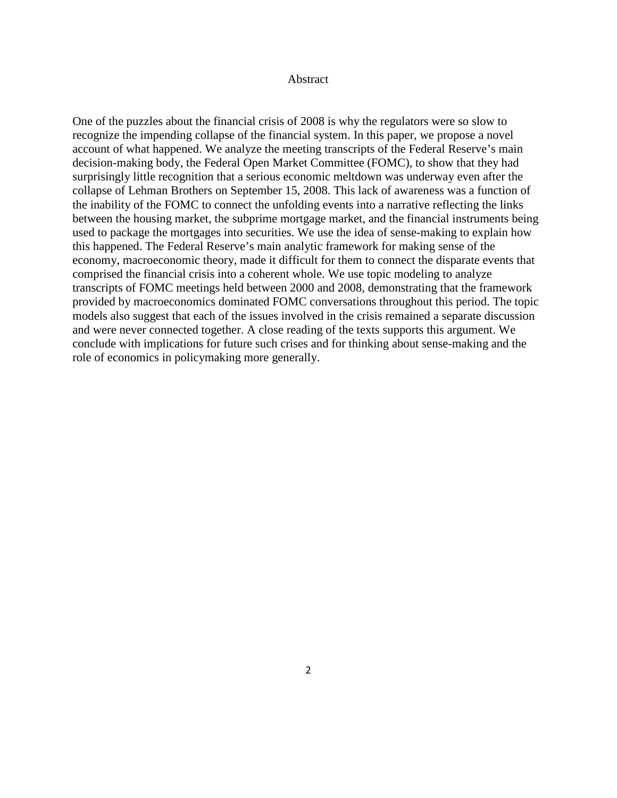#### Abstract

One of the puzzles about the financial crisis of 2008 is why the regulators were so slow to recognize the impending collapse of the financial system. In this paper, we propose a novel account of what happened. We analyze the meeting transcripts of the Federal Reserve's main decision-making body, the Federal Open Market Committee (FOMC), to show that they had surprisingly little recognition that a serious economic meltdown was underway even after the collapse of Lehman Brothers on September 15, 2008. This lack of awareness was a function of the inability of the FOMC to connect the unfolding events into a narrative reflecting the links between the housing market, the subprime mortgage market, and the financial instruments being used to package the mortgages into securities. We use the idea of sense-making to explain how this happened. The Federal Reserve's main analytic framework for making sense of the economy, macroeconomic theory, made it difficult for them to connect the disparate events that comprised the financial crisis into a coherent whole. We use topic modeling to analyze transcripts of FOMC meetings held between 2000 and 2008, demonstrating that the framework provided by macroeconomics dominated FOMC conversations throughout this period. The topic models also suggest that each of the issues involved in the crisis remained a separate discussion and were never connected together. A close reading of the texts supports this argument. We conclude with implications for future such crises and for thinking about sense-making and the role of economics in policymaking more generally.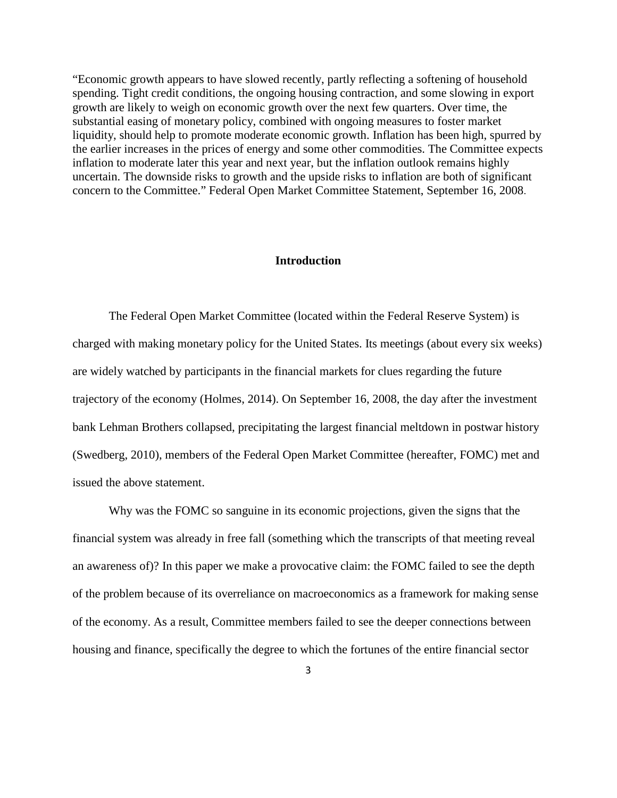"Economic growth appears to have slowed recently, partly reflecting a softening of household spending. Tight credit conditions, the ongoing housing contraction, and some slowing in export growth are likely to weigh on economic growth over the next few quarters. Over time, the substantial easing of monetary policy, combined with ongoing measures to foster market liquidity, should help to promote moderate economic growth. Inflation has been high, spurred by the earlier increases in the prices of energy and some other commodities. The Committee expects inflation to moderate later this year and next year, but the inflation outlook remains highly uncertain. The downside risks to growth and the upside risks to inflation are both of significant concern to the Committee." Federal Open Market Committee Statement, September 16, 2008.

# **Introduction**

The Federal Open Market Committee (located within the Federal Reserve System) is charged with making monetary policy for the United States. Its meetings (about every six weeks) are widely watched by participants in the financial markets for clues regarding the future trajectory of the economy (Holmes, 2014). On September 16, 2008, the day after the investment bank Lehman Brothers collapsed, precipitating the largest financial meltdown in postwar history (Swedberg, 2010), members of the Federal Open Market Committee (hereafter, FOMC) met and issued the above statement.

Why was the FOMC so sanguine in its economic projections, given the signs that the financial system was already in free fall (something which the transcripts of that meeting reveal an awareness of)? In this paper we make a provocative claim: the FOMC failed to see the depth of the problem because of its overreliance on macroeconomics as a framework for making sense of the economy. As a result, Committee members failed to see the deeper connections between housing and finance, specifically the degree to which the fortunes of the entire financial sector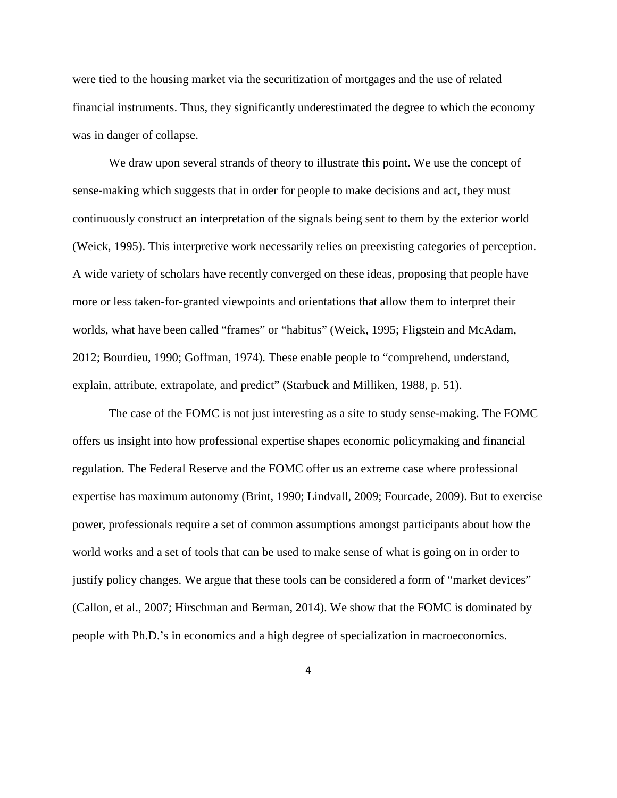were tied to the housing market via the securitization of mortgages and the use of related financial instruments. Thus, they significantly underestimated the degree to which the economy was in danger of collapse.

We draw upon several strands of theory to illustrate this point. We use the concept of sense-making which suggests that in order for people to make decisions and act, they must continuously construct an interpretation of the signals being sent to them by the exterior world (Weick, 1995). This interpretive work necessarily relies on preexisting categories of perception. A wide variety of scholars have recently converged on these ideas, proposing that people have more or less taken-for-granted viewpoints and orientations that allow them to interpret their worlds, what have been called "frames" or "habitus" (Weick, 1995; Fligstein and McAdam, 2012; Bourdieu, 1990; Goffman, 1974). These enable people to "comprehend, understand, explain, attribute, extrapolate, and predict" (Starbuck and Milliken, 1988, p. 51).

The case of the FOMC is not just interesting as a site to study sense-making. The FOMC offers us insight into how professional expertise shapes economic policymaking and financial regulation. The Federal Reserve and the FOMC offer us an extreme case where professional expertise has maximum autonomy (Brint, 1990; Lindvall, 2009; Fourcade, 2009). But to exercise power, professionals require a set of common assumptions amongst participants about how the world works and a set of tools that can be used to make sense of what is going on in order to justify policy changes. We argue that these tools can be considered a form of "market devices" (Callon, et al., 2007; Hirschman and Berman, 2014). We show that the FOMC is dominated by people with Ph.D.'s in economics and a high degree of specialization in macroeconomics.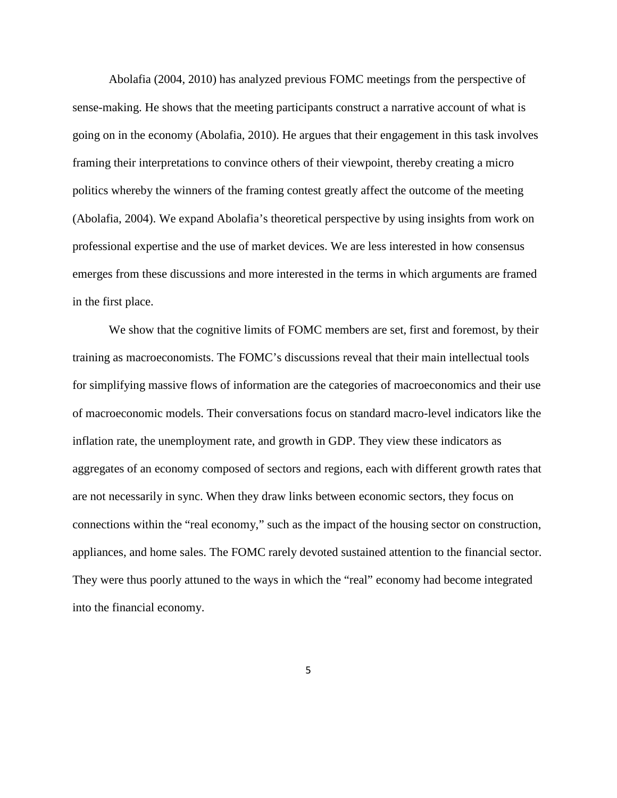Abolafia (2004, 2010) has analyzed previous FOMC meetings from the perspective of sense-making. He shows that the meeting participants construct a narrative account of what is going on in the economy (Abolafia, 2010). He argues that their engagement in this task involves framing their interpretations to convince others of their viewpoint, thereby creating a micro politics whereby the winners of the framing contest greatly affect the outcome of the meeting (Abolafia, 2004). We expand Abolafia's theoretical perspective by using insights from work on professional expertise and the use of market devices. We are less interested in how consensus emerges from these discussions and more interested in the terms in which arguments are framed in the first place.

We show that the cognitive limits of FOMC members are set, first and foremost, by their training as macroeconomists. The FOMC's discussions reveal that their main intellectual tools for simplifying massive flows of information are the categories of macroeconomics and their use of macroeconomic models. Their conversations focus on standard macro-level indicators like the inflation rate, the unemployment rate, and growth in GDP. They view these indicators as aggregates of an economy composed of sectors and regions, each with different growth rates that are not necessarily in sync. When they draw links between economic sectors, they focus on connections within the "real economy," such as the impact of the housing sector on construction, appliances, and home sales. The FOMC rarely devoted sustained attention to the financial sector. They were thus poorly attuned to the ways in which the "real" economy had become integrated into the financial economy.

5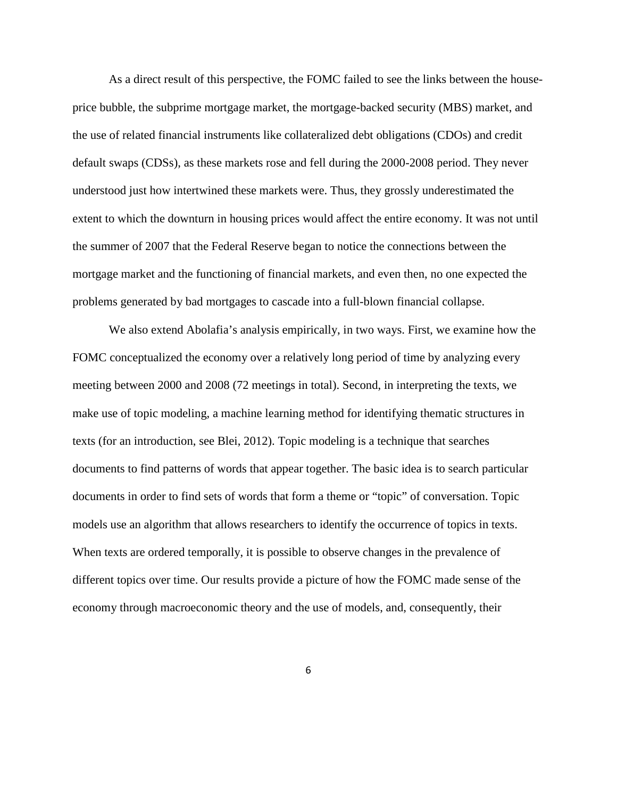As a direct result of this perspective, the FOMC failed to see the links between the houseprice bubble, the subprime mortgage market, the mortgage-backed security (MBS) market, and the use of related financial instruments like collateralized debt obligations (CDOs) and credit default swaps (CDSs), as these markets rose and fell during the 2000-2008 period. They never understood just how intertwined these markets were. Thus, they grossly underestimated the extent to which the downturn in housing prices would affect the entire economy. It was not until the summer of 2007 that the Federal Reserve began to notice the connections between the mortgage market and the functioning of financial markets, and even then, no one expected the problems generated by bad mortgages to cascade into a full-blown financial collapse.

We also extend Abolafia's analysis empirically, in two ways. First, we examine how the FOMC conceptualized the economy over a relatively long period of time by analyzing every meeting between 2000 and 2008 (72 meetings in total). Second, in interpreting the texts, we make use of topic modeling, a machine learning method for identifying thematic structures in texts (for an introduction, see Blei, 2012). Topic modeling is a technique that searches documents to find patterns of words that appear together. The basic idea is to search particular documents in order to find sets of words that form a theme or "topic" of conversation. Topic models use an algorithm that allows researchers to identify the occurrence of topics in texts. When texts are ordered temporally, it is possible to observe changes in the prevalence of different topics over time. Our results provide a picture of how the FOMC made sense of the economy through macroeconomic theory and the use of models, and, consequently, their

6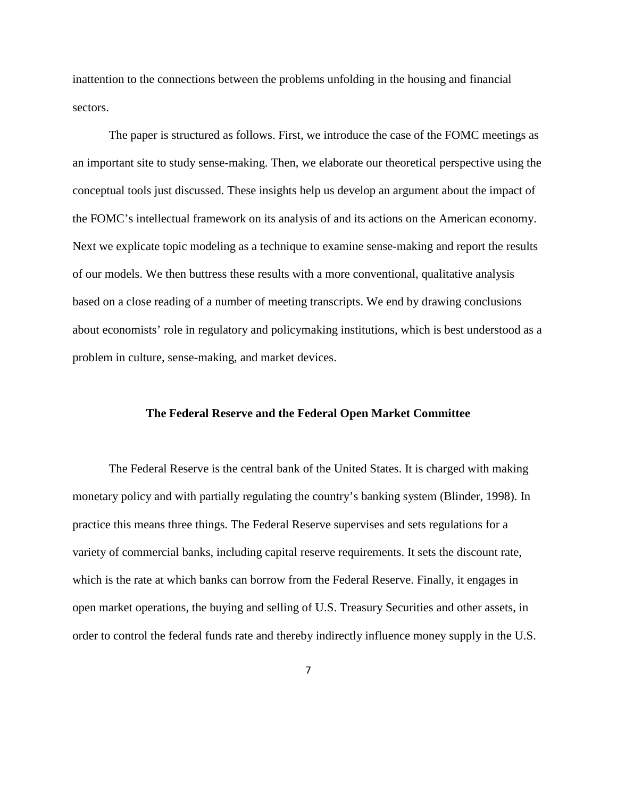inattention to the connections between the problems unfolding in the housing and financial sectors.

The paper is structured as follows. First, we introduce the case of the FOMC meetings as an important site to study sense-making. Then, we elaborate our theoretical perspective using the conceptual tools just discussed. These insights help us develop an argument about the impact of the FOMC's intellectual framework on its analysis of and its actions on the American economy. Next we explicate topic modeling as a technique to examine sense-making and report the results of our models. We then buttress these results with a more conventional, qualitative analysis based on a close reading of a number of meeting transcripts. We end by drawing conclusions about economists' role in regulatory and policymaking institutions, which is best understood as a problem in culture, sense-making, and market devices.

## **The Federal Reserve and the Federal Open Market Committee**

The Federal Reserve is the central bank of the United States. It is charged with making monetary policy and with partially regulating the country's banking system (Blinder, 1998). In practice this means three things. The Federal Reserve supervises and sets regulations for a variety of commercial banks, including capital reserve requirements. It sets the discount rate, which is the rate at which banks can borrow from the Federal Reserve. Finally, it engages in open market operations, the buying and selling of U.S. Treasury Securities and other assets, in order to control the federal funds rate and thereby indirectly influence money supply in the U.S.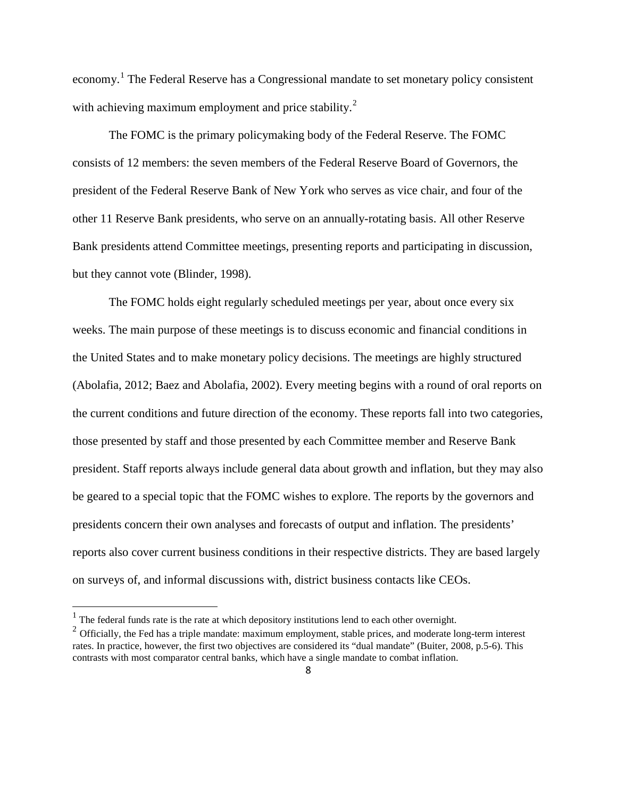economy.<sup>[1](#page-7-0)</sup> The Federal Reserve has a Congressional mandate to set monetary policy consistent with achieving maximum employment and price stability.<sup>[2](#page-7-1)</sup>

The FOMC is the primary policymaking body of the Federal Reserve. The FOMC consists of 12 members: the seven members of the Federal Reserve Board of Governors, the president of the Federal Reserve Bank of New York who serves as vice chair, and four of the other 11 Reserve Bank presidents, who serve on an annually-rotating basis. All other Reserve Bank presidents attend Committee meetings, presenting reports and participating in discussion, but they cannot vote (Blinder, 1998).

The FOMC holds eight regularly scheduled meetings per year, about once every six weeks. The main purpose of these meetings is to discuss economic and financial conditions in the United States and to make monetary policy decisions. The meetings are highly structured (Abolafia, 2012; Baez and Abolafia, 2002). Every meeting begins with a round of oral reports on the current conditions and future direction of the economy. These reports fall into two categories, those presented by staff and those presented by each Committee member and Reserve Bank president. Staff reports always include general data about growth and inflation, but they may also be geared to a special topic that the FOMC wishes to explore. The reports by the governors and presidents concern their own analyses and forecasts of output and inflation. The presidents' reports also cover current business conditions in their respective districts. They are based largely on surveys of, and informal discussions with, district business contacts like CEOs.

<span id="page-7-0"></span> $1$  The federal funds rate is the rate at which depository institutions lend to each other overnight.

<span id="page-7-1"></span> $2$  Officially, the Fed has a triple mandate: maximum employment, stable prices, and moderate long-term interest rates. In practice, however, the first two objectives are considered its "dual mandate" (Buiter, 2008, p.5-6). This contrasts with most comparator central banks, which have a single mandate to combat inflation.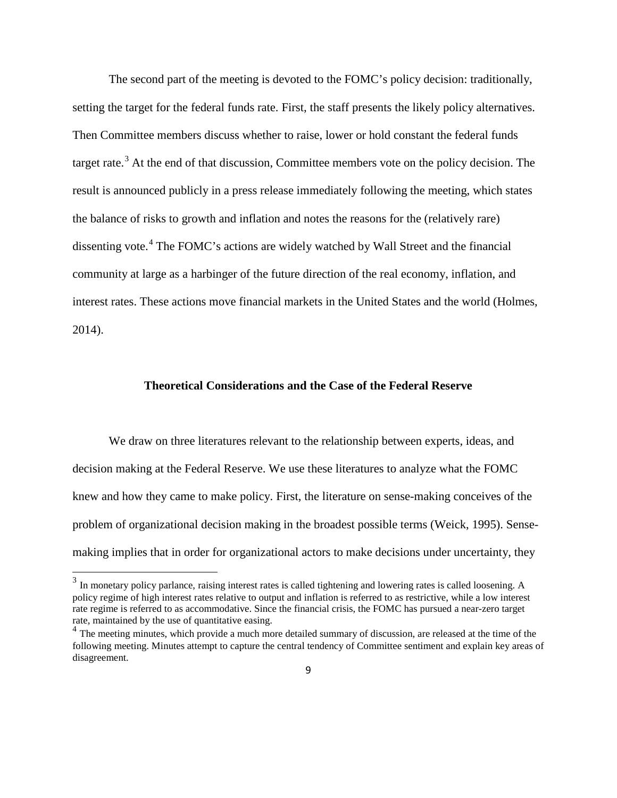The second part of the meeting is devoted to the FOMC's policy decision: traditionally, setting the target for the federal funds rate. First, the staff presents the likely policy alternatives. Then Committee members discuss whether to raise, lower or hold constant the federal funds target rate.<sup>[3](#page-8-0)</sup> At the end of that discussion, Committee members vote on the policy decision. The result is announced publicly in a press release immediately following the meeting, which states the balance of risks to growth and inflation and notes the reasons for the (relatively rare) dissenting vote.<sup>[4](#page-8-1)</sup> The FOMC's actions are widely watched by Wall Street and the financial community at large as a harbinger of the future direction of the real economy, inflation, and interest rates. These actions move financial markets in the United States and the world (Holmes, 2014).

# **Theoretical Considerations and the Case of the Federal Reserve**

We draw on three literatures relevant to the relationship between experts, ideas, and decision making at the Federal Reserve. We use these literatures to analyze what the FOMC knew and how they came to make policy. First, the literature on sense-making conceives of the problem of organizational decision making in the broadest possible terms (Weick, 1995). Sensemaking implies that in order for organizational actors to make decisions under uncertainty, they

<span id="page-8-0"></span><sup>&</sup>lt;sup>3</sup> In monetary policy parlance, raising interest rates is called tightening and lowering rates is called loosening. A policy regime of high interest rates relative to output and inflation is referred to as restrictive, while a low interest rate regime is referred to as accommodative. Since the financial crisis, the FOMC has pursued a near-zero target rate, maintained by the use of quantitative easing.

<span id="page-8-1"></span><sup>&</sup>lt;sup>4</sup> The meeting minutes, which provide a much more detailed summary of discussion, are released at the time of the following meeting. Minutes attempt to capture the central tendency of Committee sentiment and explain key areas of disagreement.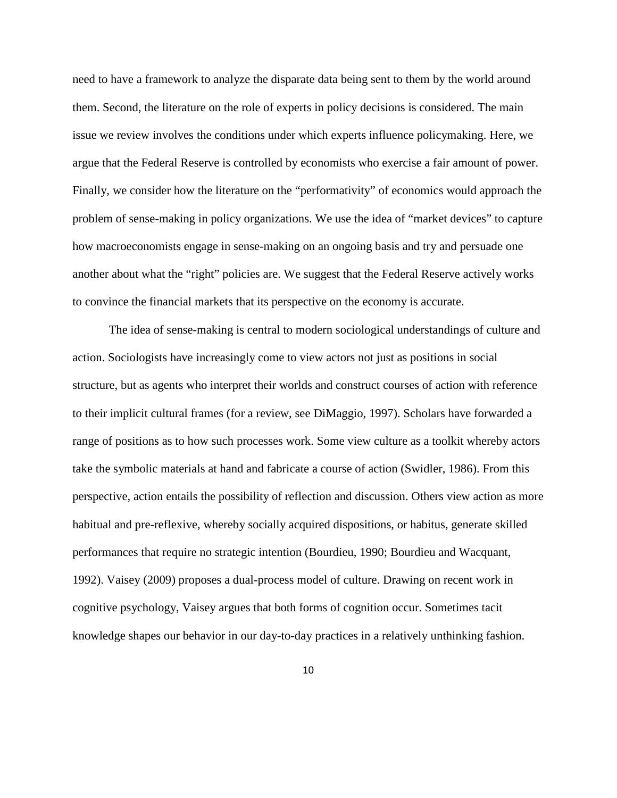need to have a framework to analyze the disparate data being sent to them by the world around them. Second, the literature on the role of experts in policy decisions is considered. The main issue we review involves the conditions under which experts influence policymaking. Here, we argue that the Federal Reserve is controlled by economists who exercise a fair amount of power. Finally, we consider how the literature on the "performativity" of economics would approach the problem of sense-making in policy organizations. We use the idea of "market devices" to capture how macroeconomists engage in sense-making on an ongoing basis and try and persuade one another about what the "right" policies are. We suggest that the Federal Reserve actively works to convince the financial markets that its perspective on the economy is accurate.

The idea of sense-making is central to modern sociological understandings of culture and action. Sociologists have increasingly come to view actors not just as positions in social structure, but as agents who interpret their worlds and construct courses of action with reference to their implicit cultural frames (for a review, see DiMaggio, 1997). Scholars have forwarded a range of positions as to how such processes work. Some view culture as a toolkit whereby actors take the symbolic materials at hand and fabricate a course of action (Swidler, 1986). From this perspective, action entails the possibility of reflection and discussion. Others view action as more habitual and pre-reflexive, whereby socially acquired dispositions, or habitus, generate skilled performances that require no strategic intention (Bourdieu, 1990; Bourdieu and Wacquant, 1992). Vaisey (2009) proposes a dual-process model of culture. Drawing on recent work in cognitive psychology, Vaisey argues that both forms of cognition occur. Sometimes tacit knowledge shapes our behavior in our day-to-day practices in a relatively unthinking fashion.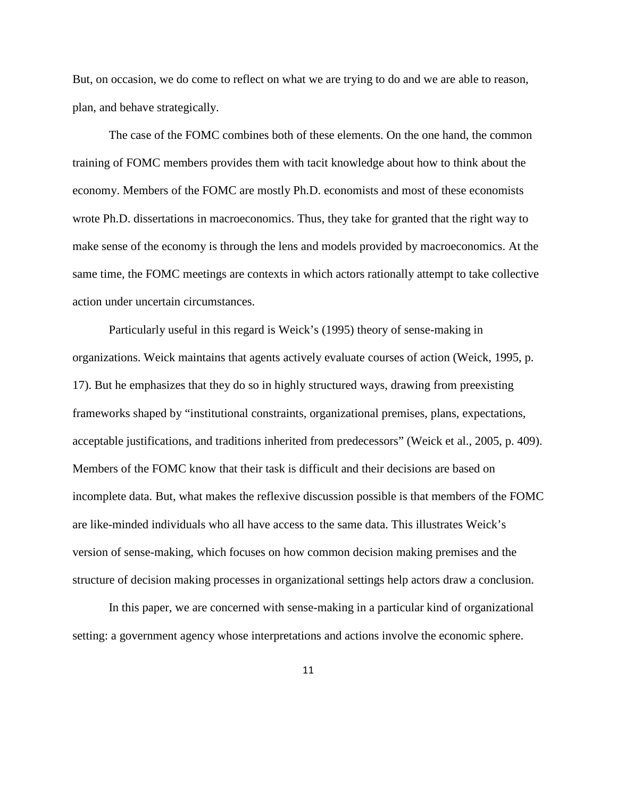But, on occasion, we do come to reflect on what we are trying to do and we are able to reason, plan, and behave strategically.

The case of the FOMC combines both of these elements. On the one hand, the common training of FOMC members provides them with tacit knowledge about how to think about the economy. Members of the FOMC are mostly Ph.D. economists and most of these economists wrote Ph.D. dissertations in macroeconomics. Thus, they take for granted that the right way to make sense of the economy is through the lens and models provided by macroeconomics. At the same time, the FOMC meetings are contexts in which actors rationally attempt to take collective action under uncertain circumstances.

Particularly useful in this regard is Weick's (1995) theory of sense-making in organizations. Weick maintains that agents actively evaluate courses of action (Weick, 1995, p. 17). But he emphasizes that they do so in highly structured ways, drawing from preexisting frameworks shaped by "institutional constraints, organizational premises, plans, expectations, acceptable justifications, and traditions inherited from predecessors" (Weick et al., 2005, p. 409). Members of the FOMC know that their task is difficult and their decisions are based on incomplete data. But, what makes the reflexive discussion possible is that members of the FOMC are like-minded individuals who all have access to the same data. This illustrates Weick's version of sense-making, which focuses on how common decision making premises and the structure of decision making processes in organizational settings help actors draw a conclusion.

In this paper, we are concerned with sense-making in a particular kind of organizational setting: a government agency whose interpretations and actions involve the economic sphere.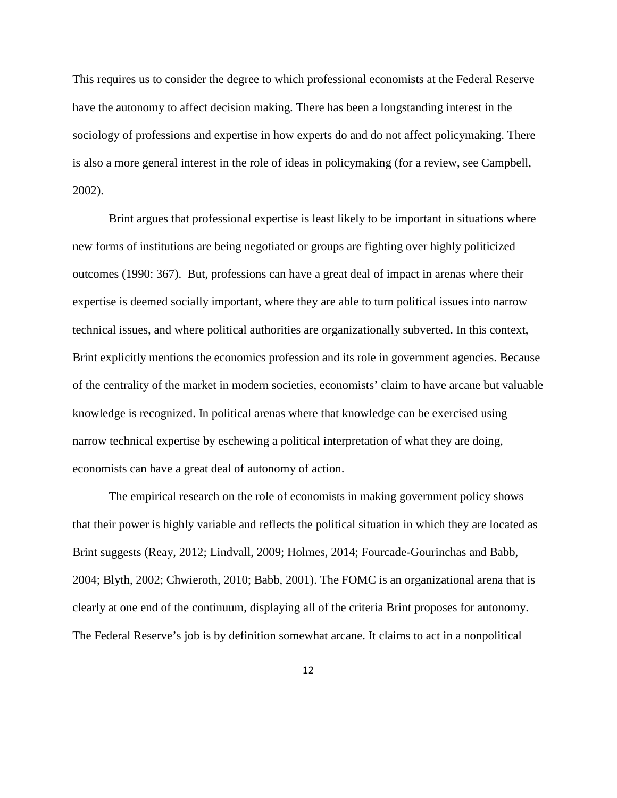This requires us to consider the degree to which professional economists at the Federal Reserve have the autonomy to affect decision making. There has been a longstanding interest in the sociology of professions and expertise in how experts do and do not affect policymaking. There is also a more general interest in the role of ideas in policymaking (for a review, see Campbell, 2002).

Brint argues that professional expertise is least likely to be important in situations where new forms of institutions are being negotiated or groups are fighting over highly politicized outcomes (1990: 367). But, professions can have a great deal of impact in arenas where their expertise is deemed socially important, where they are able to turn political issues into narrow technical issues, and where political authorities are organizationally subverted. In this context, Brint explicitly mentions the economics profession and its role in government agencies. Because of the centrality of the market in modern societies, economists' claim to have arcane but valuable knowledge is recognized. In political arenas where that knowledge can be exercised using narrow technical expertise by eschewing a political interpretation of what they are doing, economists can have a great deal of autonomy of action.

The empirical research on the role of economists in making government policy shows that their power is highly variable and reflects the political situation in which they are located as Brint suggests (Reay, 2012; Lindvall, 2009; Holmes, 2014; Fourcade-Gourinchas and Babb, 2004; Blyth, 2002; Chwieroth, 2010; Babb, 2001). The FOMC is an organizational arena that is clearly at one end of the continuum, displaying all of the criteria Brint proposes for autonomy. The Federal Reserve's job is by definition somewhat arcane. It claims to act in a nonpolitical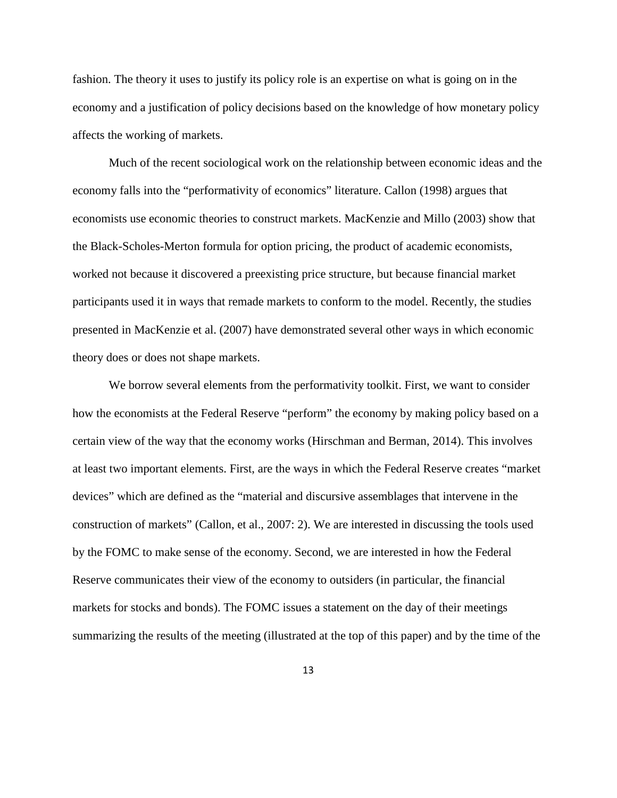fashion. The theory it uses to justify its policy role is an expertise on what is going on in the economy and a justification of policy decisions based on the knowledge of how monetary policy affects the working of markets.

Much of the recent sociological work on the relationship between economic ideas and the economy falls into the "performativity of economics" literature. Callon (1998) argues that economists use economic theories to construct markets. MacKenzie and Millo (2003) show that the Black-Scholes-Merton formula for option pricing, the product of academic economists, worked not because it discovered a preexisting price structure, but because financial market participants used it in ways that remade markets to conform to the model. Recently, the studies presented in MacKenzie et al. (2007) have demonstrated several other ways in which economic theory does or does not shape markets.

We borrow several elements from the performativity toolkit. First, we want to consider how the economists at the Federal Reserve "perform" the economy by making policy based on a certain view of the way that the economy works (Hirschman and Berman, 2014). This involves at least two important elements. First, are the ways in which the Federal Reserve creates "market devices" which are defined as the "material and discursive assemblages that intervene in the construction of markets" (Callon, et al., 2007: 2). We are interested in discussing the tools used by the FOMC to make sense of the economy. Second, we are interested in how the Federal Reserve communicates their view of the economy to outsiders (in particular, the financial markets for stocks and bonds). The FOMC issues a statement on the day of their meetings summarizing the results of the meeting (illustrated at the top of this paper) and by the time of the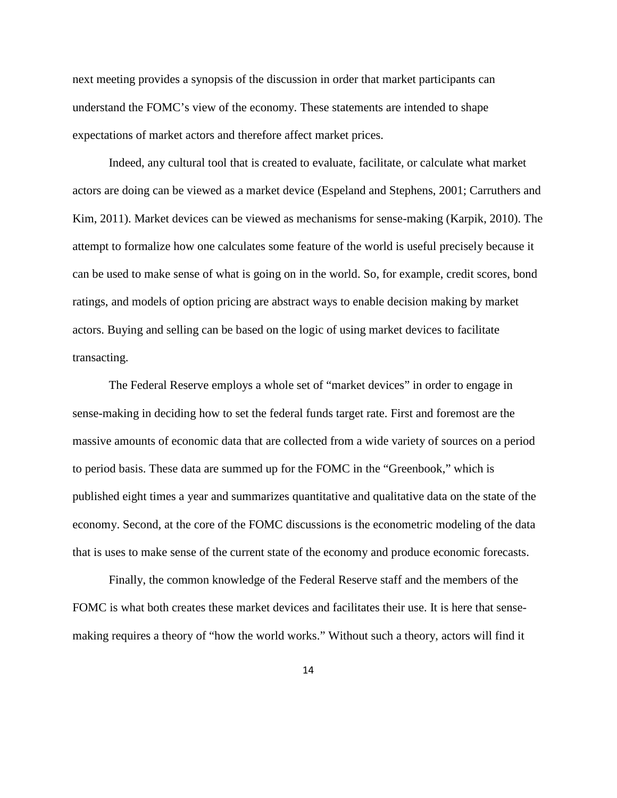next meeting provides a synopsis of the discussion in order that market participants can understand the FOMC's view of the economy. These statements are intended to shape expectations of market actors and therefore affect market prices.

Indeed, any cultural tool that is created to evaluate, facilitate, or calculate what market actors are doing can be viewed as a market device (Espeland and Stephens, 2001; Carruthers and Kim, 2011). Market devices can be viewed as mechanisms for sense-making (Karpik, 2010). The attempt to formalize how one calculates some feature of the world is useful precisely because it can be used to make sense of what is going on in the world. So, for example, credit scores, bond ratings, and models of option pricing are abstract ways to enable decision making by market actors. Buying and selling can be based on the logic of using market devices to facilitate transacting.

The Federal Reserve employs a whole set of "market devices" in order to engage in sense-making in deciding how to set the federal funds target rate. First and foremost are the massive amounts of economic data that are collected from a wide variety of sources on a period to period basis. These data are summed up for the FOMC in the "Greenbook," which is published eight times a year and summarizes quantitative and qualitative data on the state of the economy. Second, at the core of the FOMC discussions is the econometric modeling of the data that is uses to make sense of the current state of the economy and produce economic forecasts.

Finally, the common knowledge of the Federal Reserve staff and the members of the FOMC is what both creates these market devices and facilitates their use. It is here that sensemaking requires a theory of "how the world works." Without such a theory, actors will find it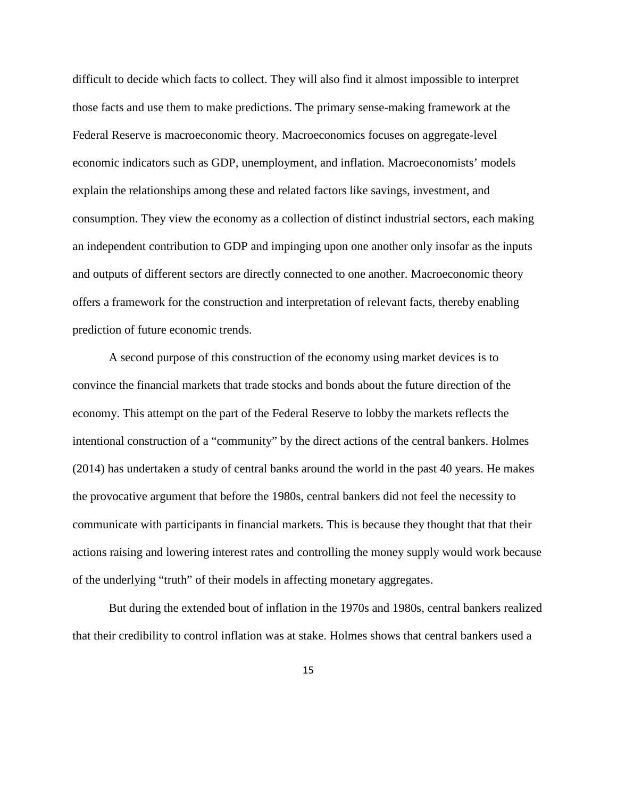difficult to decide which facts to collect. They will also find it almost impossible to interpret those facts and use them to make predictions. The primary sense-making framework at the Federal Reserve is macroeconomic theory. Macroeconomics focuses on aggregate-level economic indicators such as GDP, unemployment, and inflation. Macroeconomists' models explain the relationships among these and related factors like savings, investment, and consumption. They view the economy as a collection of distinct industrial sectors, each making an independent contribution to GDP and impinging upon one another only insofar as the inputs and outputs of different sectors are directly connected to one another. Macroeconomic theory offers a framework for the construction and interpretation of relevant facts, thereby enabling prediction of future economic trends.

A second purpose of this construction of the economy using market devices is to convince the financial markets that trade stocks and bonds about the future direction of the economy. This attempt on the part of the Federal Reserve to lobby the markets reflects the intentional construction of a "community" by the direct actions of the central bankers. Holmes (2014) has undertaken a study of central banks around the world in the past 40 years. He makes the provocative argument that before the 1980s, central bankers did not feel the necessity to communicate with participants in financial markets. This is because they thought that that their actions raising and lowering interest rates and controlling the money supply would work because of the underlying "truth" of their models in affecting monetary aggregates.

But during the extended bout of inflation in the 1970s and 1980s, central bankers realized that their credibility to control inflation was at stake. Holmes shows that central bankers used a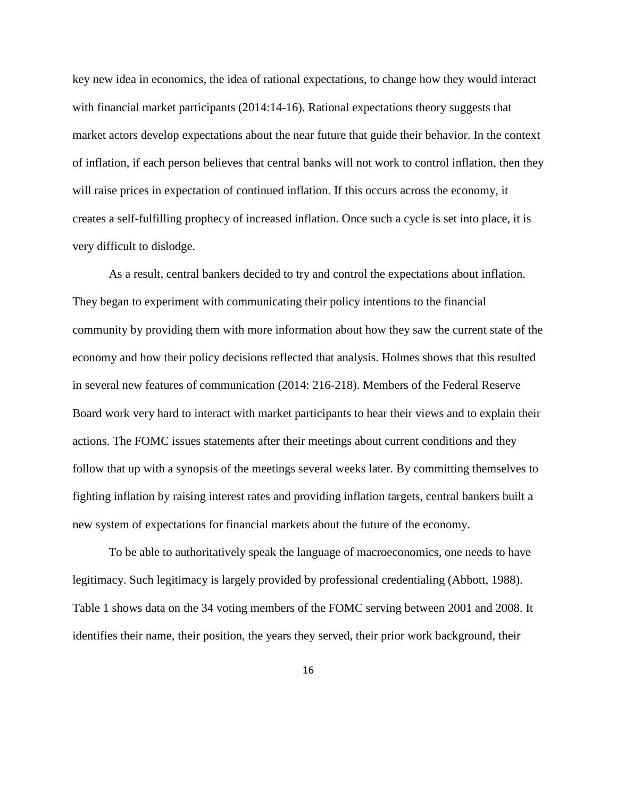key new idea in economics, the idea of rational expectations, to change how they would interact with financial market participants (2014:14-16). Rational expectations theory suggests that market actors develop expectations about the near future that guide their behavior. In the context of inflation, if each person believes that central banks will not work to control inflation, then they will raise prices in expectation of continued inflation. If this occurs across the economy, it creates a self-fulfilling prophecy of increased inflation. Once such a cycle is set into place, it is very difficult to dislodge.

As a result, central bankers decided to try and control the expectations about inflation. They began to experiment with communicating their policy intentions to the financial community by providing them with more information about how they saw the current state of the economy and how their policy decisions reflected that analysis. Holmes shows that this resulted in several new features of communication (2014: 216-218). Members of the Federal Reserve Board work very hard to interact with market participants to hear their views and to explain their actions. The FOMC issues statements after their meetings about current conditions and they follow that up with a synopsis of the meetings several weeks later. By committing themselves to fighting inflation by raising interest rates and providing inflation targets, central bankers built a new system of expectations for financial markets about the future of the economy.

To be able to authoritatively speak the language of macroeconomics, one needs to have legitimacy. Such legitimacy is largely provided by professional credentialing (Abbott, 1988). Table 1 shows data on the 34 voting members of the FOMC serving between 2001 and 2008. It identifies their name, their position, the years they served, their prior work background, their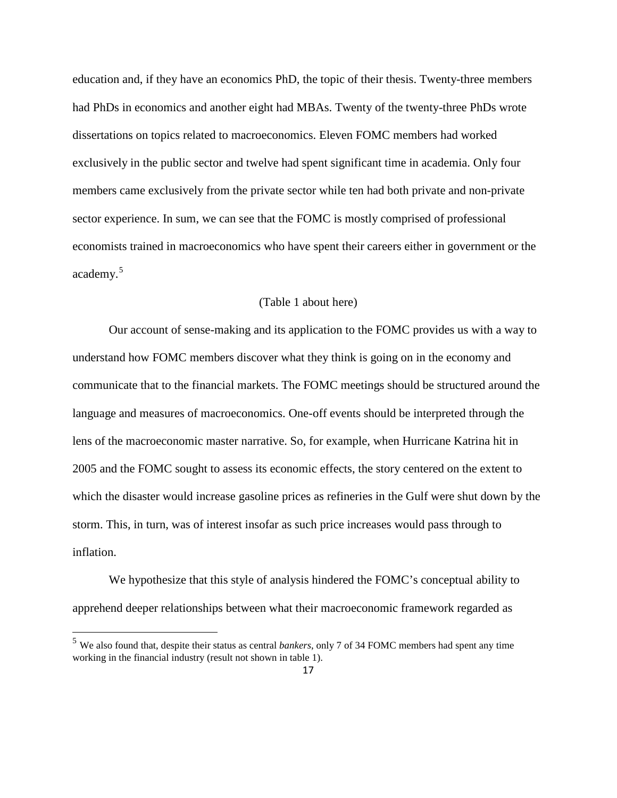education and, if they have an economics PhD, the topic of their thesis. Twenty-three members had PhDs in economics and another eight had MBAs. Twenty of the twenty-three PhDs wrote dissertations on topics related to macroeconomics. Eleven FOMC members had worked exclusively in the public sector and twelve had spent significant time in academia. Only four members came exclusively from the private sector while ten had both private and non-private sector experience. In sum, we can see that the FOMC is mostly comprised of professional economists trained in macroeconomics who have spent their careers either in government or the academy.<sup>[5](#page-16-0)</sup>

## (Table 1 about here)

Our account of sense-making and its application to the FOMC provides us with a way to understand how FOMC members discover what they think is going on in the economy and communicate that to the financial markets. The FOMC meetings should be structured around the language and measures of macroeconomics. One-off events should be interpreted through the lens of the macroeconomic master narrative. So, for example, when Hurricane Katrina hit in 2005 and the FOMC sought to assess its economic effects, the story centered on the extent to which the disaster would increase gasoline prices as refineries in the Gulf were shut down by the storm. This, in turn, was of interest insofar as such price increases would pass through to inflation.

We hypothesize that this style of analysis hindered the FOMC's conceptual ability to apprehend deeper relationships between what their macroeconomic framework regarded as

<span id="page-16-0"></span><sup>5</sup> We also found that, despite their status as central *bankers*, only 7 of 34 FOMC members had spent any time working in the financial industry (result not shown in table 1).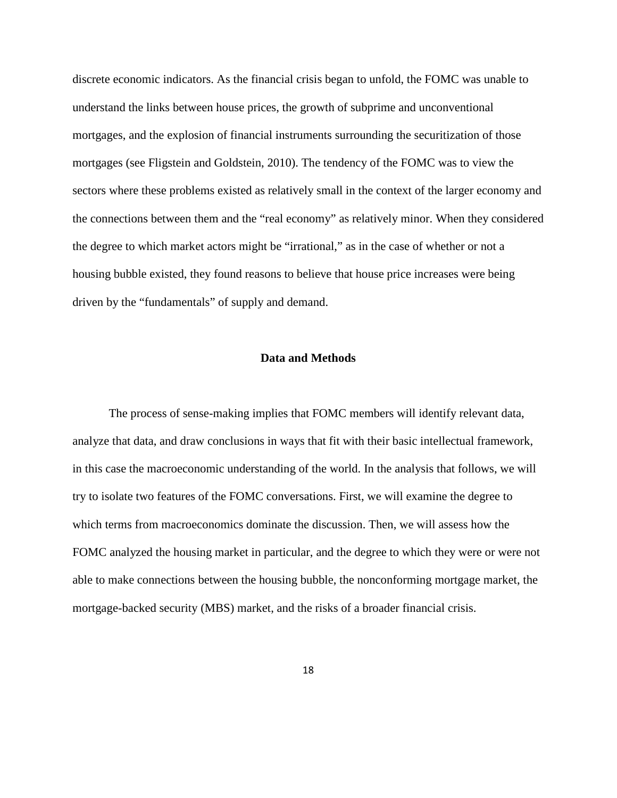discrete economic indicators. As the financial crisis began to unfold, the FOMC was unable to understand the links between house prices, the growth of subprime and unconventional mortgages, and the explosion of financial instruments surrounding the securitization of those mortgages (see Fligstein and Goldstein, 2010). The tendency of the FOMC was to view the sectors where these problems existed as relatively small in the context of the larger economy and the connections between them and the "real economy" as relatively minor. When they considered the degree to which market actors might be "irrational," as in the case of whether or not a housing bubble existed, they found reasons to believe that house price increases were being driven by the "fundamentals" of supply and demand.

## **Data and Methods**

The process of sense-making implies that FOMC members will identify relevant data, analyze that data, and draw conclusions in ways that fit with their basic intellectual framework, in this case the macroeconomic understanding of the world. In the analysis that follows, we will try to isolate two features of the FOMC conversations. First, we will examine the degree to which terms from macroeconomics dominate the discussion. Then, we will assess how the FOMC analyzed the housing market in particular, and the degree to which they were or were not able to make connections between the housing bubble, the nonconforming mortgage market, the mortgage-backed security (MBS) market, and the risks of a broader financial crisis.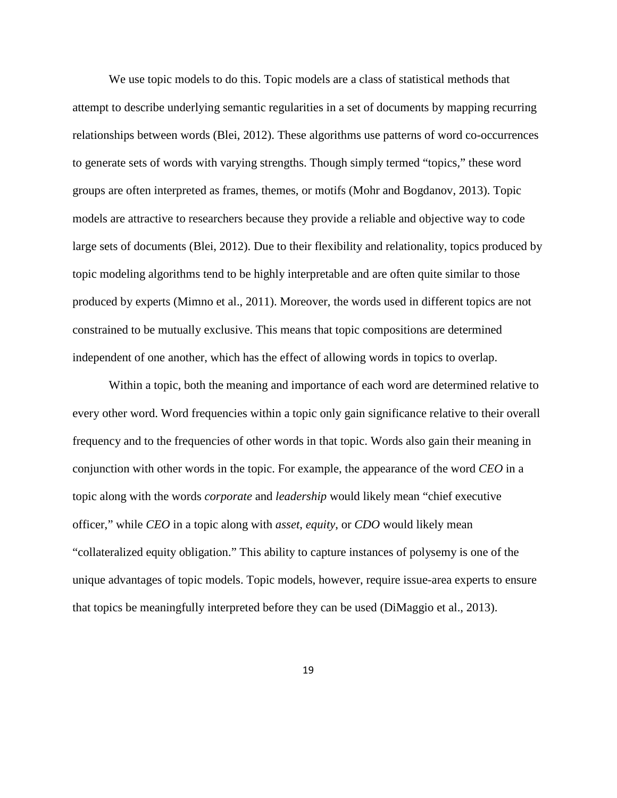We use topic models to do this. Topic models are a class of statistical methods that attempt to describe underlying semantic regularities in a set of documents by mapping recurring relationships between words (Blei, 2012). These algorithms use patterns of word co-occurrences to generate sets of words with varying strengths. Though simply termed "topics," these word groups are often interpreted as frames, themes, or motifs (Mohr and Bogdanov, 2013). Topic models are attractive to researchers because they provide a reliable and objective way to code large sets of documents (Blei, 2012). Due to their flexibility and relationality, topics produced by topic modeling algorithms tend to be highly interpretable and are often quite similar to those produced by experts (Mimno et al., 2011). Moreover, the words used in different topics are not constrained to be mutually exclusive. This means that topic compositions are determined independent of one another, which has the effect of allowing words in topics to overlap.

Within a topic, both the meaning and importance of each word are determined relative to every other word. Word frequencies within a topic only gain significance relative to their overall frequency and to the frequencies of other words in that topic. Words also gain their meaning in conjunction with other words in the topic. For example, the appearance of the word *CEO* in a topic along with the words *corporate* and *leadership* would likely mean "chief executive officer," while *CEO* in a topic along with *asset*, *equity*, or *CDO* would likely mean "collateralized equity obligation." This ability to capture instances of polysemy is one of the unique advantages of topic models. Topic models, however, require issue-area experts to ensure that topics be meaningfully interpreted before they can be used (DiMaggio et al., 2013).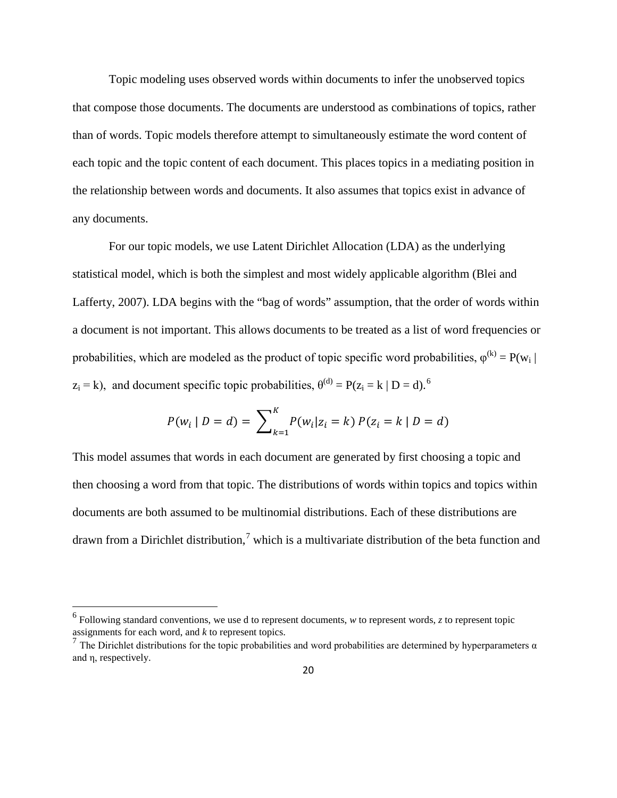Topic modeling uses observed words within documents to infer the unobserved topics that compose those documents. The documents are understood as combinations of topics, rather than of words. Topic models therefore attempt to simultaneously estimate the word content of each topic and the topic content of each document. This places topics in a mediating position in the relationship between words and documents. It also assumes that topics exist in advance of any documents.

For our topic models, we use Latent Dirichlet Allocation (LDA) as the underlying statistical model, which is both the simplest and most widely applicable algorithm (Blei and Lafferty, 2007). LDA begins with the "bag of words" assumption, that the order of words within a document is not important. This allows documents to be treated as a list of word frequencies or probabilities, which are modeled as the product of topic specific word probabilities,  $\varphi^{(k)} = P(w_i |$  $z_i = k$ ), and document specific topic probabilities,  $\theta^{(d)} = P(z_i = k \mid D = d)$ .<sup>[6](#page-19-0)</sup>

$$
P(w_i | D = d) = \sum_{k=1}^{K} P(w_i | z_i = k) P(z_i = k | D = d)
$$

This model assumes that words in each document are generated by first choosing a topic and then choosing a word from that topic. The distributions of words within topics and topics within documents are both assumed to be multinomial distributions. Each of these distributions are drawn from a Dirichlet distribution,<sup>[7](#page-19-1)</sup> which is a multivariate distribution of the beta function and

<span id="page-19-0"></span><sup>6</sup> Following standard conventions, we use d to represent documents, *<sup>w</sup>* to represent words, *<sup>z</sup>* to represent topic assignments for each word, and *k* to represent topics.

<span id="page-19-1"></span><sup>&</sup>lt;sup>7</sup> The Dirichlet distributions for the topic probabilities and word probabilities are determined by hyperparameters  $\alpha$ and η, respectively.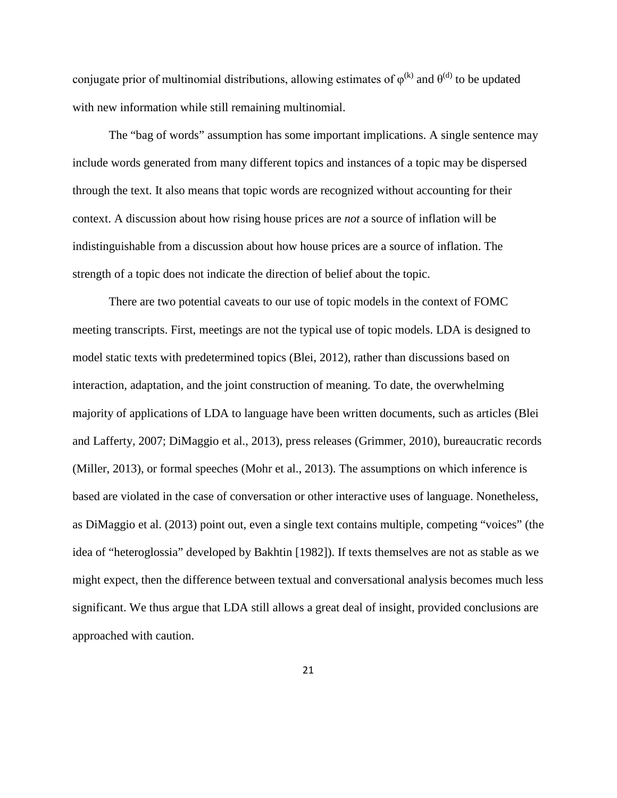conjugate prior of multinomial distributions, allowing estimates of  $\varphi^{(k)}$  and  $\theta^{(d)}$  to be updated with new information while still remaining multinomial.

The "bag of words" assumption has some important implications. A single sentence may include words generated from many different topics and instances of a topic may be dispersed through the text. It also means that topic words are recognized without accounting for their context. A discussion about how rising house prices are *not* a source of inflation will be indistinguishable from a discussion about how house prices are a source of inflation. The strength of a topic does not indicate the direction of belief about the topic.

There are two potential caveats to our use of topic models in the context of FOMC meeting transcripts. First, meetings are not the typical use of topic models. LDA is designed to model static texts with predetermined topics (Blei, 2012), rather than discussions based on interaction, adaptation, and the joint construction of meaning. To date, the overwhelming majority of applications of LDA to language have been written documents, such as articles (Blei and Lafferty, 2007; DiMaggio et al., 2013), press releases (Grimmer, 2010), bureaucratic records (Miller, 2013), or formal speeches (Mohr et al., 2013). The assumptions on which inference is based are violated in the case of conversation or other interactive uses of language. Nonetheless, as DiMaggio et al. (2013) point out, even a single text contains multiple, competing "voices" (the idea of "heteroglossia" developed by Bakhtin [1982]). If texts themselves are not as stable as we might expect, then the difference between textual and conversational analysis becomes much less significant. We thus argue that LDA still allows a great deal of insight, provided conclusions are approached with caution.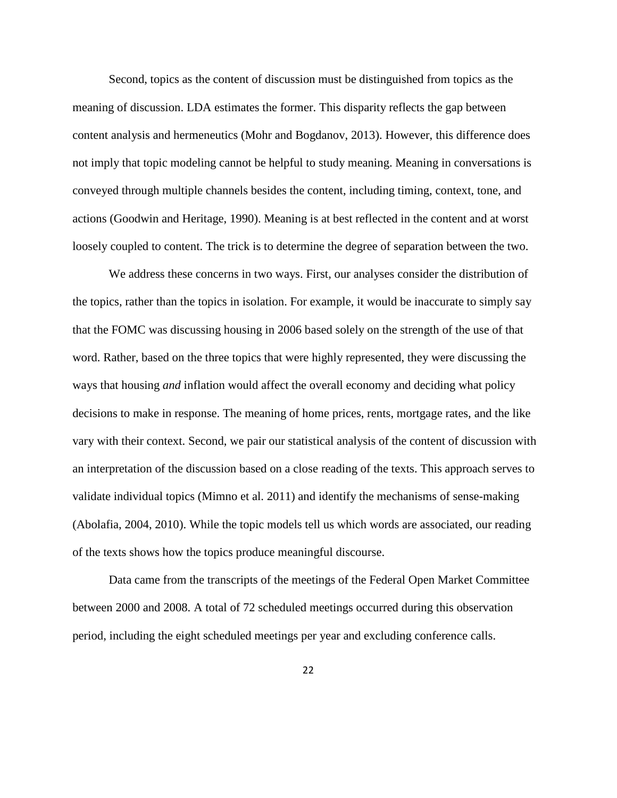Second, topics as the content of discussion must be distinguished from topics as the meaning of discussion. LDA estimates the former. This disparity reflects the gap between content analysis and hermeneutics (Mohr and Bogdanov, 2013). However, this difference does not imply that topic modeling cannot be helpful to study meaning. Meaning in conversations is conveyed through multiple channels besides the content, including timing, context, tone, and actions (Goodwin and Heritage, 1990). Meaning is at best reflected in the content and at worst loosely coupled to content. The trick is to determine the degree of separation between the two.

We address these concerns in two ways. First, our analyses consider the distribution of the topics, rather than the topics in isolation. For example, it would be inaccurate to simply say that the FOMC was discussing housing in 2006 based solely on the strength of the use of that word. Rather, based on the three topics that were highly represented, they were discussing the ways that housing *and* inflation would affect the overall economy and deciding what policy decisions to make in response. The meaning of home prices, rents, mortgage rates, and the like vary with their context. Second, we pair our statistical analysis of the content of discussion with an interpretation of the discussion based on a close reading of the texts. This approach serves to validate individual topics (Mimno et al. 2011) and identify the mechanisms of sense-making (Abolafia, 2004, 2010). While the topic models tell us which words are associated, our reading of the texts shows how the topics produce meaningful discourse.

Data came from the transcripts of the meetings of the Federal Open Market Committee between 2000 and 2008. A total of 72 scheduled meetings occurred during this observation period, including the eight scheduled meetings per year and excluding conference calls.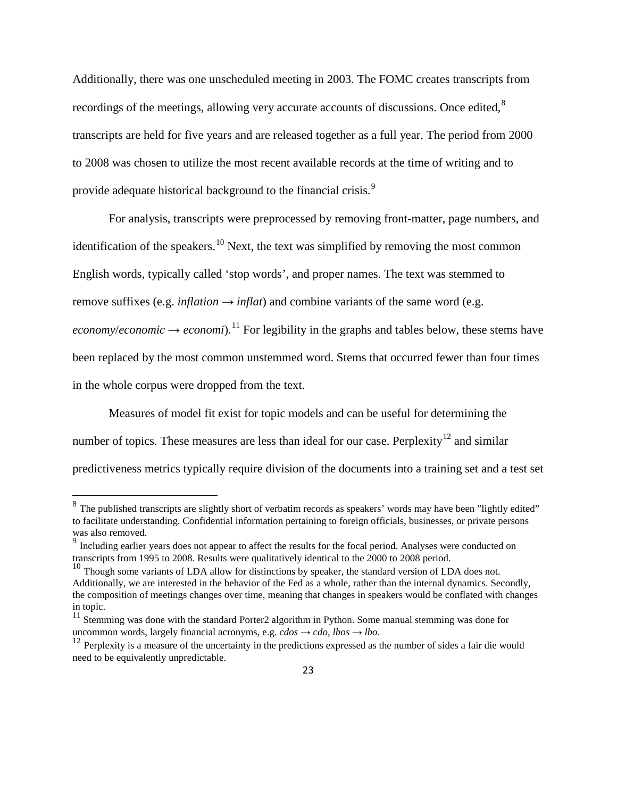Additionally, there was one unscheduled meeting in 2003. The FOMC creates transcripts from recordings of the meetings, allowing very accurate accounts of discussions. Once edited,<sup>[8](#page-22-0)</sup> transcripts are held for five years and are released together as a full year. The period from 2000 to 2008 was chosen to utilize the most recent available records at the time of writing and to provide adequate historical background to the financial crisis.<sup>[9](#page-22-1)</sup>

For analysis, transcripts were preprocessed by removing front-matter, page numbers, and identification of the speakers.<sup>[10](#page-22-2)</sup> Next, the text was simplified by removing the most common English words, typically called 'stop words', and proper names. The text was stemmed to remove suffixes (e.g. *inflation*  $\rightarrow$  *inflat*) and combine variants of the same word (e.g. *economy/economic*  $\rightarrow$  *economi*).<sup>[11](#page-22-3)</sup> For legibility in the graphs and tables below, these stems have been replaced by the most common unstemmed word. Stems that occurred fewer than four times in the whole corpus were dropped from the text.

Measures of model fit exist for topic models and can be useful for determining the number of topics. These measures are less than ideal for our case. Perplexity<sup>[12](#page-22-4)</sup> and similar predictiveness metrics typically require division of the documents into a training set and a test set

<span id="page-22-0"></span><sup>&</sup>lt;sup>8</sup> The published transcripts are slightly short of verbatim records as speakers' words may have been "lightly edited" to facilitate understanding. Confidential information pertaining to foreign officials, businesses, or private persons was also removed.

<span id="page-22-1"></span><sup>&</sup>lt;sup>9</sup> Including earlier years does not appear to affect the results for the focal period. Analyses were conducted on transcripts from 1995 to 2008. Results were qualitatively identical to the 2000 to 2008 period.

<span id="page-22-2"></span><sup>&</sup>lt;sup>10</sup> Though some variants of LDA allow for distinctions by speaker, the standard version of LDA does not. Additionally, we are interested in the behavior of the Fed as a whole, rather than the internal dynamics. Secondly, the composition of meetings changes over time, meaning that changes in speakers would be conflated with changes in topic.

<span id="page-22-3"></span> $11$  Stemming was done with the standard Porter2 algorithm in Python. Some manual stemming was done for uncommon words, largely financial acronyms, e.g.  $cdos \rightarrow cdo$ ,  $lbos \rightarrow lbo$ .<br><sup>12</sup> Perplexity is a measure of the uncertainty in the predictions expressed as the number of sides a fair die would

<span id="page-22-4"></span>need to be equivalently unpredictable.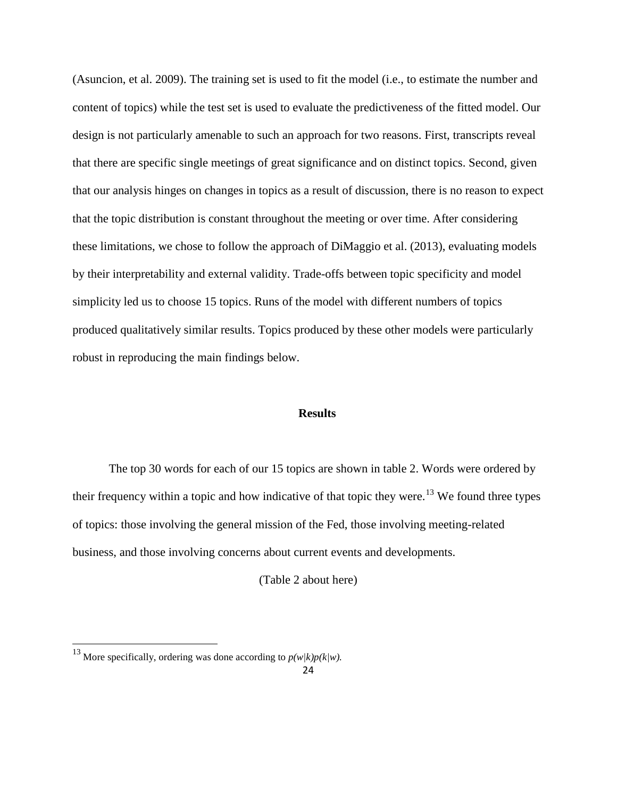(Asuncion, et al. 2009). The training set is used to fit the model (i.e., to estimate the number and content of topics) while the test set is used to evaluate the predictiveness of the fitted model. Our design is not particularly amenable to such an approach for two reasons. First, transcripts reveal that there are specific single meetings of great significance and on distinct topics. Second, given that our analysis hinges on changes in topics as a result of discussion, there is no reason to expect that the topic distribution is constant throughout the meeting or over time. After considering these limitations, we chose to follow the approach of DiMaggio et al. (2013), evaluating models by their interpretability and external validity. Trade-offs between topic specificity and model simplicity led us to choose 15 topics. Runs of the model with different numbers of topics produced qualitatively similar results. Topics produced by these other models were particularly robust in reproducing the main findings below.

# **Results**

The top 30 words for each of our 15 topics are shown in table 2. Words were ordered by their frequency within a topic and how indicative of that topic they were.<sup>[13](#page-23-0)</sup> We found three types of topics: those involving the general mission of the Fed, those involving meeting-related business, and those involving concerns about current events and developments.

(Table 2 about here)

<span id="page-23-0"></span><sup>&</sup>lt;sup>13</sup> More specifically, ordering was done according to  $p(w/k)p(k/w)$ .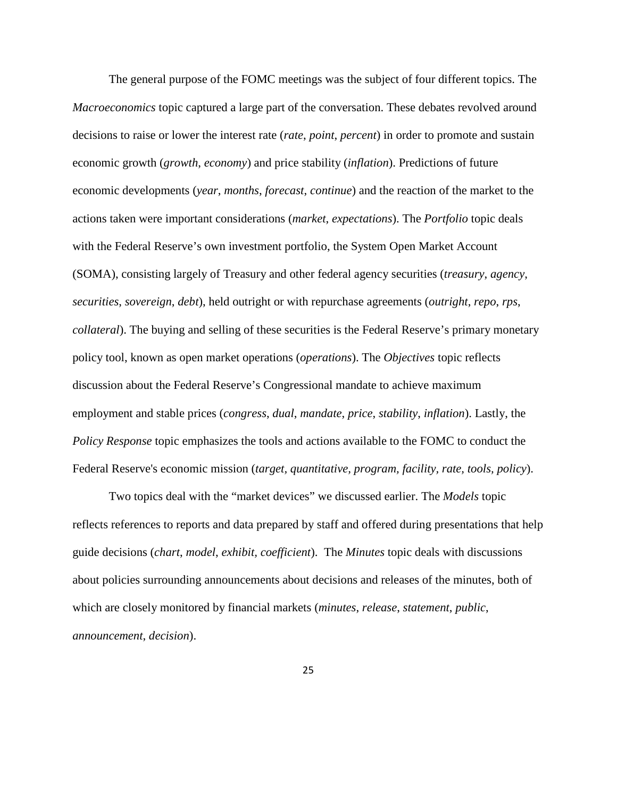The general purpose of the FOMC meetings was the subject of four different topics. The *Macroeconomics* topic captured a large part of the conversation. These debates revolved around decisions to raise or lower the interest rate (*rate*, *point*, *percent*) in order to promote and sustain economic growth (*growth*, *economy*) and price stability (*inflation*). Predictions of future economic developments (*year*, *months*, *forecast*, *continue*) and the reaction of the market to the actions taken were important considerations (*market*, *expectations*). The *Portfolio* topic deals with the Federal Reserve's own investment portfolio, the System Open Market Account (SOMA), consisting largely of Treasury and other federal agency securities (*treasury*, *agency*, *securities*, *sovereign*, *debt*), held outright or with repurchase agreements (*outright*, *repo*, *rps*, *collateral*). The buying and selling of these securities is the Federal Reserve's primary monetary policy tool, known as open market operations (*operations*). The *Objectives* topic reflects discussion about the Federal Reserve's Congressional mandate to achieve maximum employment and stable prices (*congress*, *dual*, *mandate*, *price*, *stability*, *inflation*). Lastly, the *Policy Response* topic emphasizes the tools and actions available to the FOMC to conduct the Federal Reserve's economic mission (*target, quantitative, program, facility, rate, tools, policy*).

Two topics deal with the "market devices" we discussed earlier. The *Models* topic reflects references to reports and data prepared by staff and offered during presentations that help guide decisions (*chart*, *model*, *exhibit, coefficient*). The *Minutes* topic deals with discussions about policies surrounding announcements about decisions and releases of the minutes, both of which are closely monitored by financial markets (*minutes*, *release*, *statement*, *public*, *announcement*, *decision*).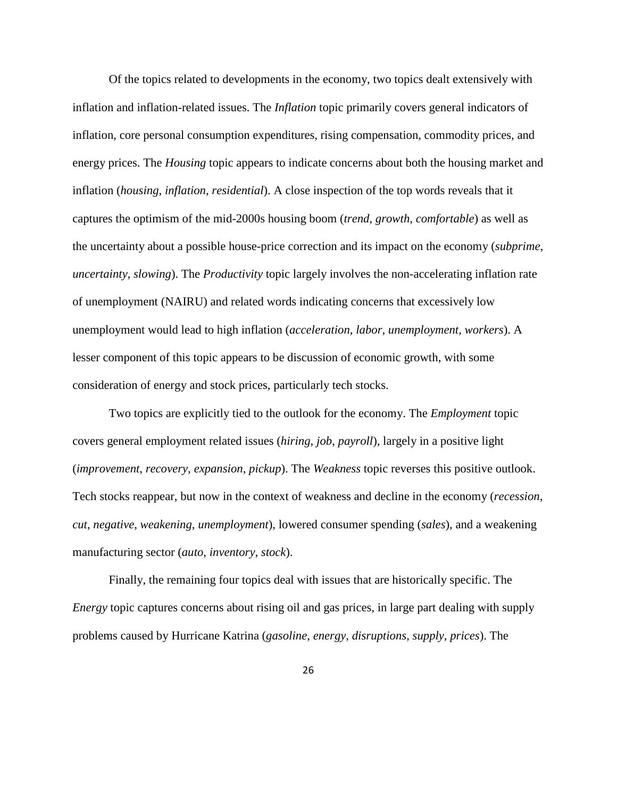Of the topics related to developments in the economy, two topics dealt extensively with inflation and inflation-related issues. The *Inflation* topic primarily covers general indicators of inflation, core personal consumption expenditures, rising compensation, commodity prices, and energy prices. The *Housing* topic appears to indicate concerns about both the housing market and inflation (*housing*, *inflation*, *residential*). A close inspection of the top words reveals that it captures the optimism of the mid-2000s housing boom (*trend*, *growth*, *comfortable*) as well as the uncertainty about a possible house-price correction and its impact on the economy (*subprime*, *uncertainty*, *slowing*). The *Productivity* topic largely involves the non-accelerating inflation rate of unemployment (NAIRU) and related words indicating concerns that excessively low unemployment would lead to high inflation (*acceleration*, *labor*, *unemployment*, *workers*). A lesser component of this topic appears to be discussion of economic growth, with some consideration of energy and stock prices, particularly tech stocks.

Two topics are explicitly tied to the outlook for the economy. The *Employment* topic covers general employment related issues (*hiring*, *job*, *payroll*), largely in a positive light (*improvement*, *recovery*, *expansion*, *pickup*). The *Weakness* topic reverses this positive outlook. Tech stocks reappear, but now in the context of weakness and decline in the economy (*recession*, *cut*, *negative*, *weakening*, *unemployment*), lowered consumer spending (*sales*), and a weakening manufacturing sector (*auto*, *inventory*, *stock*).

Finally, the remaining four topics deal with issues that are historically specific. The *Energy* topic captures concerns about rising oil and gas prices, in large part dealing with supply problems caused by Hurricane Katrina (*gasoline*, *energy*, *disruptions*, *supply*, *prices*). The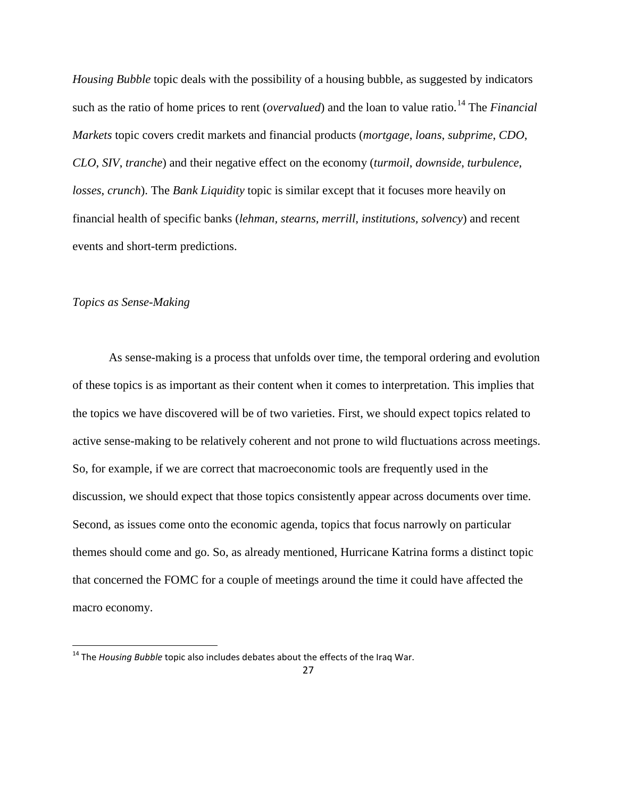*Housing Bubble* topic deals with the possibility of a housing bubble, as suggested by indicators such as the ratio of home prices to rent (*overvalued*) and the loan to value ratio.<sup>[14](#page-26-0)</sup> The *Financial Markets* topic covers credit markets and financial products (*mortgage*, *loans*, *subprime*, *CDO*, *CLO*, *SIV*, *tranche*) and their negative effect on the economy (*turmoil*, *downside*, *turbulence*, *losses*, *crunch*). The *Bank Liquidity* topic is similar except that it focuses more heavily on financial health of specific banks (*lehman, stearns, merrill, institutions, solvency*) and recent events and short-term predictions.

# *Topics as Sense-Making*

As sense-making is a process that unfolds over time, the temporal ordering and evolution of these topics is as important as their content when it comes to interpretation. This implies that the topics we have discovered will be of two varieties. First, we should expect topics related to active sense-making to be relatively coherent and not prone to wild fluctuations across meetings. So, for example, if we are correct that macroeconomic tools are frequently used in the discussion, we should expect that those topics consistently appear across documents over time. Second, as issues come onto the economic agenda, topics that focus narrowly on particular themes should come and go. So, as already mentioned, Hurricane Katrina forms a distinct topic that concerned the FOMC for a couple of meetings around the time it could have affected the macro economy.

<span id="page-26-0"></span><sup>&</sup>lt;sup>14</sup> The *Housing Bubble* topic also includes debates about the effects of the Iraq War.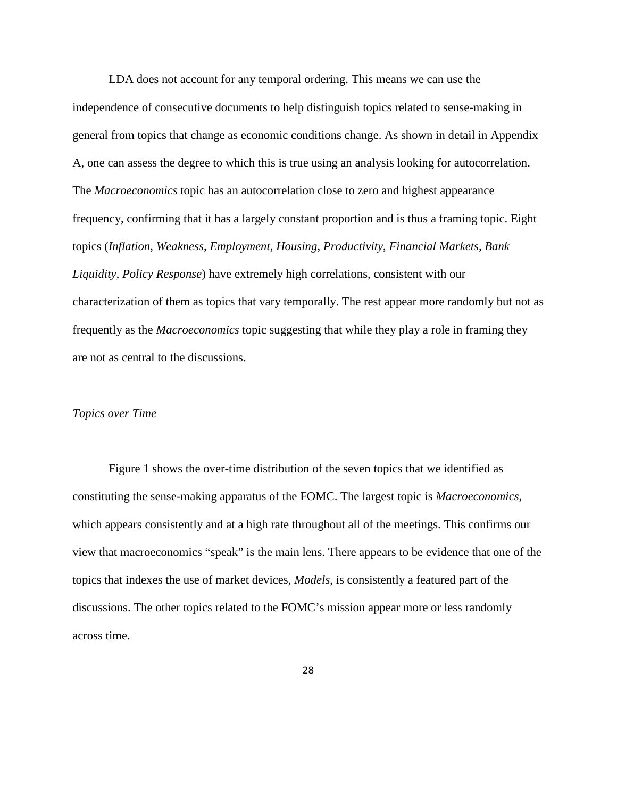LDA does not account for any temporal ordering. This means we can use the independence of consecutive documents to help distinguish topics related to sense-making in general from topics that change as economic conditions change. As shown in detail in Appendix A, one can assess the degree to which this is true using an analysis looking for autocorrelation. The *Macroeconomics* topic has an autocorrelation close to zero and highest appearance frequency, confirming that it has a largely constant proportion and is thus a framing topic. Eight topics (*Inflation*, *Weakness*, *Employment*, *Housing*, *Productivity*, *Financial Markets, Bank Liquidity, Policy Response*) have extremely high correlations, consistent with our characterization of them as topics that vary temporally. The rest appear more randomly but not as frequently as the *Macroeconomics* topic suggesting that while they play a role in framing they are not as central to the discussions.

# *Topics over Time*

Figure 1 shows the over-time distribution of the seven topics that we identified as constituting the sense-making apparatus of the FOMC. The largest topic is *Macroeconomics*, which appears consistently and at a high rate throughout all of the meetings. This confirms our view that macroeconomics "speak" is the main lens. There appears to be evidence that one of the topics that indexes the use of market devices, *Models*, is consistently a featured part of the discussions. The other topics related to the FOMC's mission appear more or less randomly across time.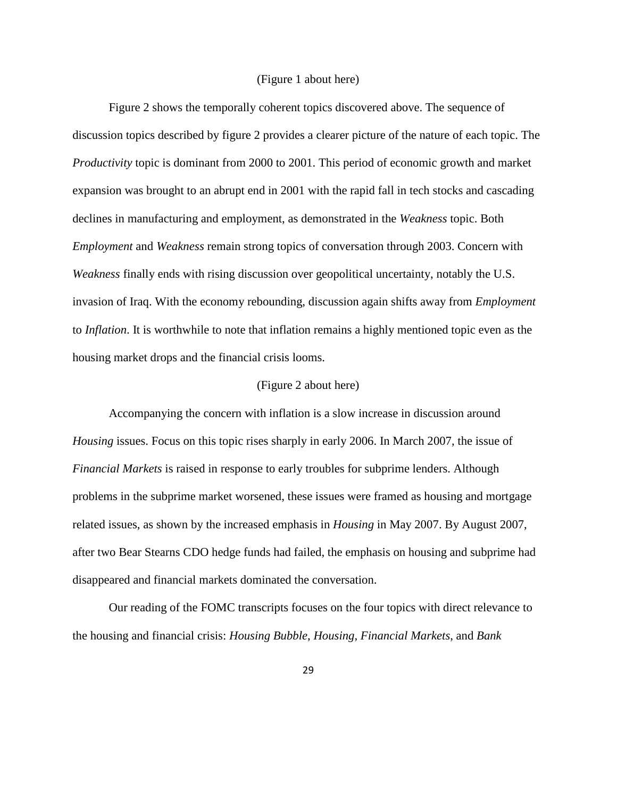#### (Figure 1 about here)

Figure 2 shows the temporally coherent topics discovered above. The sequence of discussion topics described by figure 2 provides a clearer picture of the nature of each topic. The *Productivity* topic is dominant from 2000 to 2001. This period of economic growth and market expansion was brought to an abrupt end in 2001 with the rapid fall in tech stocks and cascading declines in manufacturing and employment, as demonstrated in the *Weakness* topic. Both *Employment* and *Weakness* remain strong topics of conversation through 2003. Concern with *Weakness* finally ends with rising discussion over geopolitical uncertainty, notably the U.S. invasion of Iraq. With the economy rebounding, discussion again shifts away from *Employment*  to *Inflation*. It is worthwhile to note that inflation remains a highly mentioned topic even as the housing market drops and the financial crisis looms.

#### (Figure 2 about here)

Accompanying the concern with inflation is a slow increase in discussion around *Housing* issues. Focus on this topic rises sharply in early 2006. In March 2007, the issue of *Financial Markets* is raised in response to early troubles for subprime lenders. Although problems in the subprime market worsened, these issues were framed as housing and mortgage related issues, as shown by the increased emphasis in *Housing* in May 2007. By August 2007, after two Bear Stearns CDO hedge funds had failed, the emphasis on housing and subprime had disappeared and financial markets dominated the conversation.

Our reading of the FOMC transcripts focuses on the four topics with direct relevance to the housing and financial crisis: *Housing Bubble*, *Housing*, *Financial Markets*, and *Bank*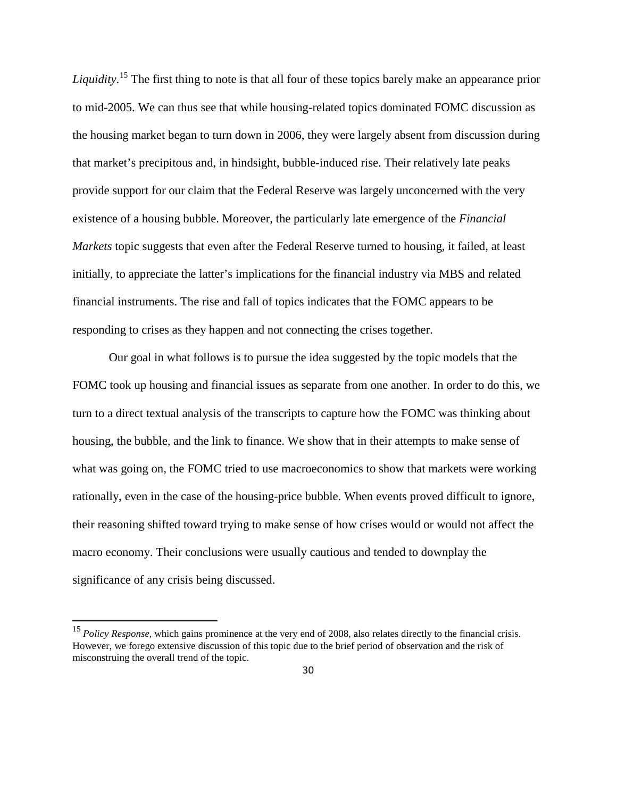*Liquidity*. [15](#page-29-0) The first thing to note is that all four of these topics barely make an appearance prior to mid-2005. We can thus see that while housing-related topics dominated FOMC discussion as the housing market began to turn down in 2006, they were largely absent from discussion during that market's precipitous and, in hindsight, bubble-induced rise. Their relatively late peaks provide support for our claim that the Federal Reserve was largely unconcerned with the very existence of a housing bubble. Moreover, the particularly late emergence of the *Financial Markets* topic suggests that even after the Federal Reserve turned to housing, it failed, at least initially, to appreciate the latter's implications for the financial industry via MBS and related financial instruments. The rise and fall of topics indicates that the FOMC appears to be responding to crises as they happen and not connecting the crises together.

Our goal in what follows is to pursue the idea suggested by the topic models that the FOMC took up housing and financial issues as separate from one another. In order to do this, we turn to a direct textual analysis of the transcripts to capture how the FOMC was thinking about housing, the bubble, and the link to finance. We show that in their attempts to make sense of what was going on, the FOMC tried to use macroeconomics to show that markets were working rationally, even in the case of the housing-price bubble. When events proved difficult to ignore, their reasoning shifted toward trying to make sense of how crises would or would not affect the macro economy. Their conclusions were usually cautious and tended to downplay the significance of any crisis being discussed.

<span id="page-29-0"></span><sup>&</sup>lt;sup>15</sup> *Policy Response*, which gains prominence at the very end of 2008, also relates directly to the financial crisis. However, we forego extensive discussion of this topic due to the brief period of observation and the risk of misconstruing the overall trend of the topic.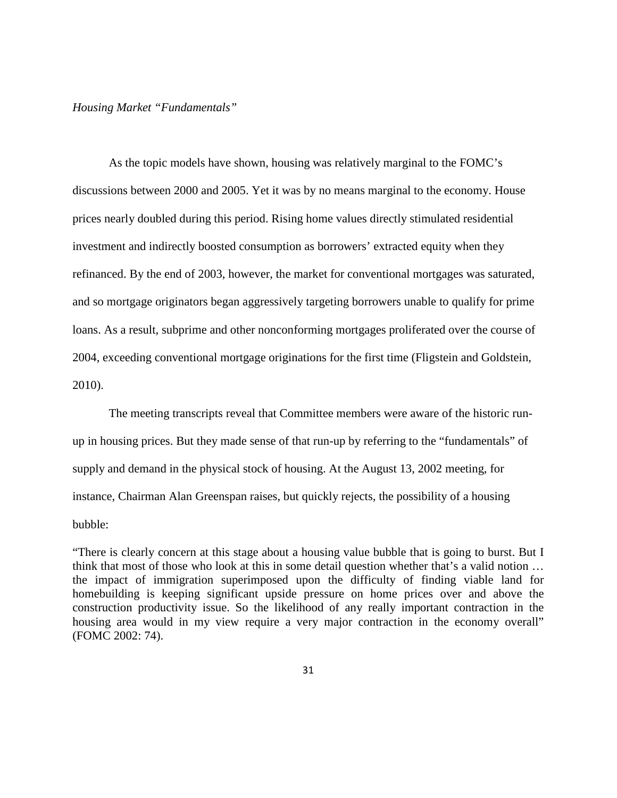## *Housing Market "Fundamentals"*

As the topic models have shown, housing was relatively marginal to the FOMC's discussions between 2000 and 2005. Yet it was by no means marginal to the economy. House prices nearly doubled during this period. Rising home values directly stimulated residential investment and indirectly boosted consumption as borrowers' extracted equity when they refinanced. By the end of 2003, however, the market for conventional mortgages was saturated, and so mortgage originators began aggressively targeting borrowers unable to qualify for prime loans. As a result, subprime and other nonconforming mortgages proliferated over the course of 2004, exceeding conventional mortgage originations for the first time (Fligstein and Goldstein, 2010).

The meeting transcripts reveal that Committee members were aware of the historic runup in housing prices. But they made sense of that run-up by referring to the "fundamentals" of supply and demand in the physical stock of housing. At the August 13, 2002 meeting, for instance, Chairman Alan Greenspan raises, but quickly rejects, the possibility of a housing bubble:

"There is clearly concern at this stage about a housing value bubble that is going to burst. But I think that most of those who look at this in some detail question whether that's a valid notion … the impact of immigration superimposed upon the difficulty of finding viable land for homebuilding is keeping significant upside pressure on home prices over and above the construction productivity issue. So the likelihood of any really important contraction in the housing area would in my view require a very major contraction in the economy overall" (FOMC 2002: 74).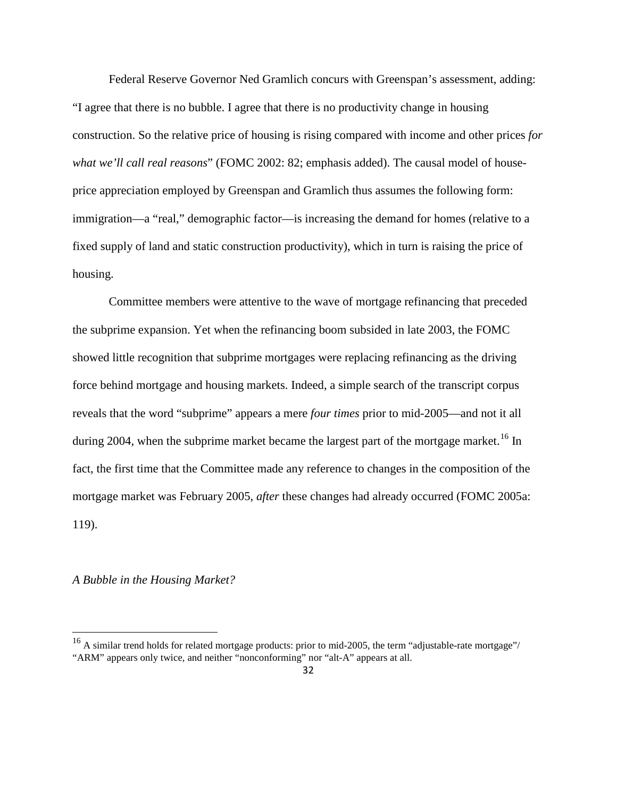Federal Reserve Governor Ned Gramlich concurs with Greenspan's assessment, adding: "I agree that there is no bubble. I agree that there is no productivity change in housing construction. So the relative price of housing is rising compared with income and other prices *for what we'll call real reasons*" (FOMC 2002: 82; emphasis added). The causal model of houseprice appreciation employed by Greenspan and Gramlich thus assumes the following form: immigration—a "real," demographic factor—is increasing the demand for homes (relative to a fixed supply of land and static construction productivity), which in turn is raising the price of housing.

Committee members were attentive to the wave of mortgage refinancing that preceded the subprime expansion. Yet when the refinancing boom subsided in late 2003, the FOMC showed little recognition that subprime mortgages were replacing refinancing as the driving force behind mortgage and housing markets. Indeed, a simple search of the transcript corpus reveals that the word "subprime" appears a mere *four times* prior to mid-2005—and not it all during 2004, when the subprime market became the largest part of the mortgage market.<sup>[16](#page-31-0)</sup> In fact, the first time that the Committee made any reference to changes in the composition of the mortgage market was February 2005, *after* these changes had already occurred (FOMC 2005a: 119).

*A Bubble in the Housing Market?*

<span id="page-31-0"></span><sup>&</sup>lt;sup>16</sup> A similar trend holds for related mortgage products: prior to mid-2005, the term "adjustable-rate mortgage"/ "ARM" appears only twice, and neither "nonconforming" nor "alt-A" appears at all.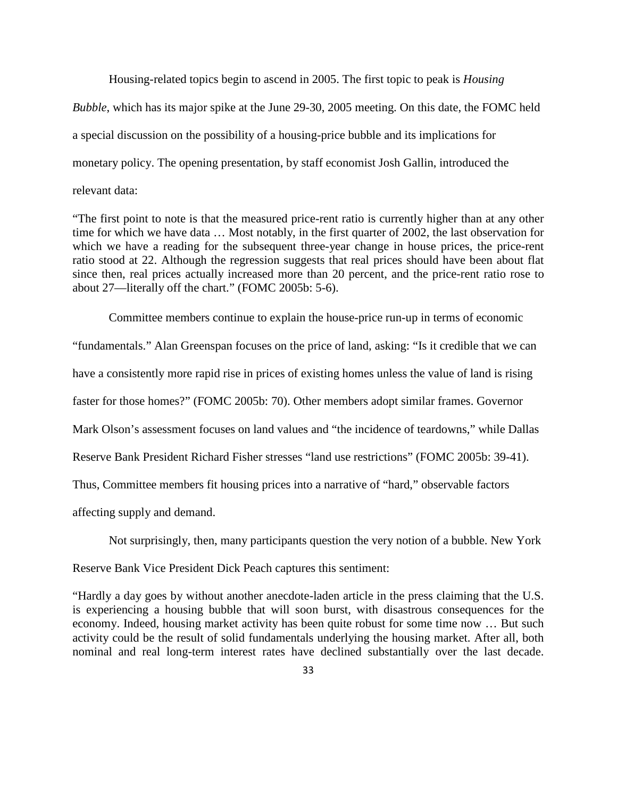Housing-related topics begin to ascend in 2005. The first topic to peak is *Housing Bubble*, which has its major spike at the June 29-30, 2005 meeting. On this date, the FOMC held a special discussion on the possibility of a housing-price bubble and its implications for monetary policy. The opening presentation, by staff economist Josh Gallin, introduced the relevant data:

"The first point to note is that the measured price-rent ratio is currently higher than at any other time for which we have data … Most notably, in the first quarter of 2002, the last observation for which we have a reading for the subsequent three-year change in house prices, the price-rent ratio stood at 22. Although the regression suggests that real prices should have been about flat since then, real prices actually increased more than 20 percent, and the price-rent ratio rose to about 27—literally off the chart." (FOMC 2005b: 5-6).

Committee members continue to explain the house-price run-up in terms of economic "fundamentals." Alan Greenspan focuses on the price of land, asking: "Is it credible that we can have a consistently more rapid rise in prices of existing homes unless the value of land is rising faster for those homes?" (FOMC 2005b: 70). Other members adopt similar frames. Governor Mark Olson's assessment focuses on land values and "the incidence of teardowns," while Dallas Reserve Bank President Richard Fisher stresses "land use restrictions" (FOMC 2005b: 39-41). Thus, Committee members fit housing prices into a narrative of "hard," observable factors affecting supply and demand.

Not surprisingly, then, many participants question the very notion of a bubble. New York

Reserve Bank Vice President Dick Peach captures this sentiment:

"Hardly a day goes by without another anecdote-laden article in the press claiming that the U.S. is experiencing a housing bubble that will soon burst, with disastrous consequences for the economy. Indeed, housing market activity has been quite robust for some time now … But such activity could be the result of solid fundamentals underlying the housing market. After all, both nominal and real long-term interest rates have declined substantially over the last decade.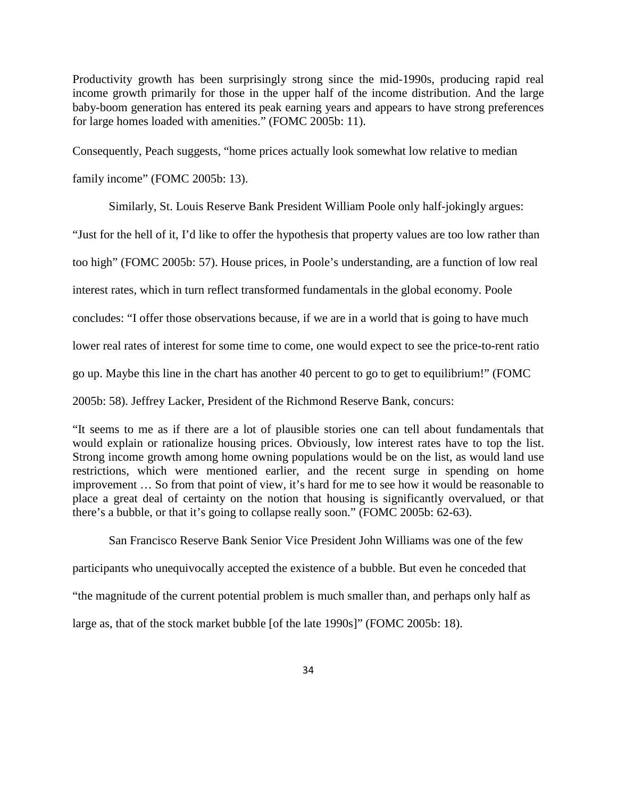Productivity growth has been surprisingly strong since the mid-1990s, producing rapid real income growth primarily for those in the upper half of the income distribution. And the large baby-boom generation has entered its peak earning years and appears to have strong preferences for large homes loaded with amenities." (FOMC 2005b: 11).

Consequently, Peach suggests, "home prices actually look somewhat low relative to median

family income" (FOMC 2005b: 13).

Similarly, St. Louis Reserve Bank President William Poole only half-jokingly argues:

"Just for the hell of it, I'd like to offer the hypothesis that property values are too low rather than

too high" (FOMC 2005b: 57). House prices, in Poole's understanding, are a function of low real

interest rates, which in turn reflect transformed fundamentals in the global economy. Poole

concludes: "I offer those observations because, if we are in a world that is going to have much

lower real rates of interest for some time to come, one would expect to see the price-to-rent ratio

go up. Maybe this line in the chart has another 40 percent to go to get to equilibrium!" (FOMC

2005b: 58). Jeffrey Lacker, President of the Richmond Reserve Bank, concurs:

"It seems to me as if there are a lot of plausible stories one can tell about fundamentals that would explain or rationalize housing prices. Obviously, low interest rates have to top the list. Strong income growth among home owning populations would be on the list, as would land use restrictions, which were mentioned earlier, and the recent surge in spending on home improvement … So from that point of view, it's hard for me to see how it would be reasonable to place a great deal of certainty on the notion that housing is significantly overvalued, or that there's a bubble, or that it's going to collapse really soon." (FOMC 2005b: 62-63).

San Francisco Reserve Bank Senior Vice President John Williams was one of the few

participants who unequivocally accepted the existence of a bubble. But even he conceded that

"the magnitude of the current potential problem is much smaller than, and perhaps only half as

large as, that of the stock market bubble [of the late 1990s]" (FOMC 2005b: 18).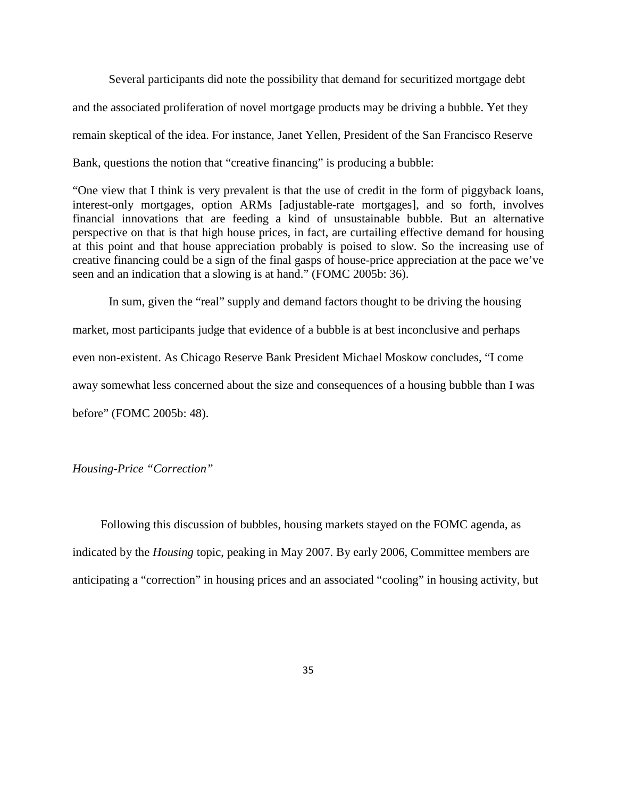Several participants did note the possibility that demand for securitized mortgage debt and the associated proliferation of novel mortgage products may be driving a bubble. Yet they remain skeptical of the idea. For instance, Janet Yellen, President of the San Francisco Reserve Bank, questions the notion that "creative financing" is producing a bubble:

"One view that I think is very prevalent is that the use of credit in the form of piggyback loans, interest-only mortgages, option ARMs [adjustable-rate mortgages], and so forth, involves financial innovations that are feeding a kind of unsustainable bubble. But an alternative perspective on that is that high house prices, in fact, are curtailing effective demand for housing at this point and that house appreciation probably is poised to slow. So the increasing use of creative financing could be a sign of the final gasps of house-price appreciation at the pace we've seen and an indication that a slowing is at hand." (FOMC 2005b: 36).

In sum, given the "real" supply and demand factors thought to be driving the housing market, most participants judge that evidence of a bubble is at best inconclusive and perhaps even non-existent. As Chicago Reserve Bank President Michael Moskow concludes, "I come away somewhat less concerned about the size and consequences of a housing bubble than I was before" (FOMC 2005b: 48).

## *Housing-Price "Correction"*

Following this discussion of bubbles, housing markets stayed on the FOMC agenda, as indicated by the *Housing* topic, peaking in May 2007. By early 2006, Committee members are anticipating a "correction" in housing prices and an associated "cooling" in housing activity, but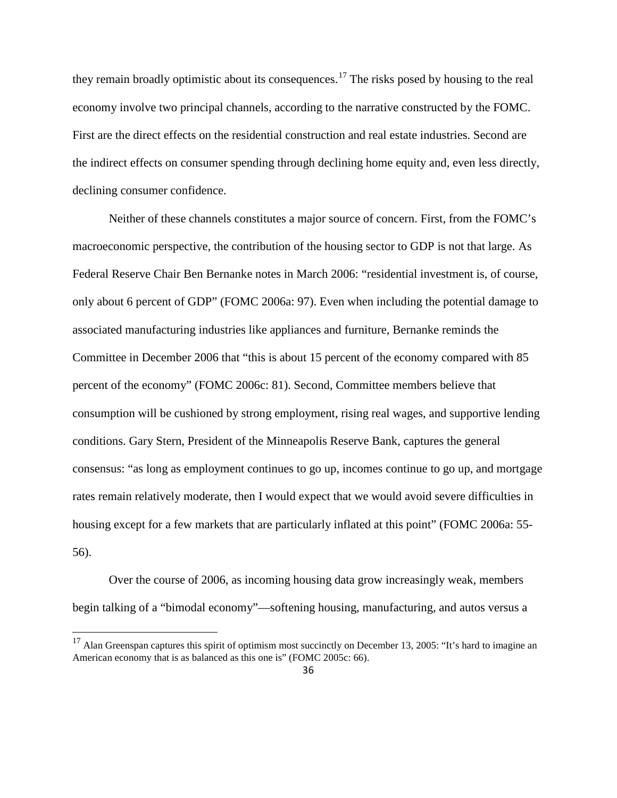they remain broadly optimistic about its consequences.<sup>[17](#page-35-0)</sup> The risks posed by housing to the real economy involve two principal channels, according to the narrative constructed by the FOMC. First are the direct effects on the residential construction and real estate industries. Second are the indirect effects on consumer spending through declining home equity and, even less directly, declining consumer confidence.

Neither of these channels constitutes a major source of concern. First, from the FOMC's macroeconomic perspective, the contribution of the housing sector to GDP is not that large. As Federal Reserve Chair Ben Bernanke notes in March 2006: "residential investment is, of course, only about 6 percent of GDP" (FOMC 2006a: 97). Even when including the potential damage to associated manufacturing industries like appliances and furniture, Bernanke reminds the Committee in December 2006 that "this is about 15 percent of the economy compared with 85 percent of the economy" (FOMC 2006c: 81). Second, Committee members believe that consumption will be cushioned by strong employment, rising real wages, and supportive lending conditions. Gary Stern, President of the Minneapolis Reserve Bank, captures the general consensus: "as long as employment continues to go up, incomes continue to go up, and mortgage rates remain relatively moderate, then I would expect that we would avoid severe difficulties in housing except for a few markets that are particularly inflated at this point" (FOMC 2006a: 55-56).

Over the course of 2006, as incoming housing data grow increasingly weak, members begin talking of a "bimodal economy"—softening housing, manufacturing, and autos versus a

<span id="page-35-0"></span><sup>&</sup>lt;sup>17</sup> Alan Greenspan captures this spirit of optimism most succinctly on December 13, 2005: "It's hard to imagine an American economy that is as balanced as this one is" (FOMC 2005c: 66).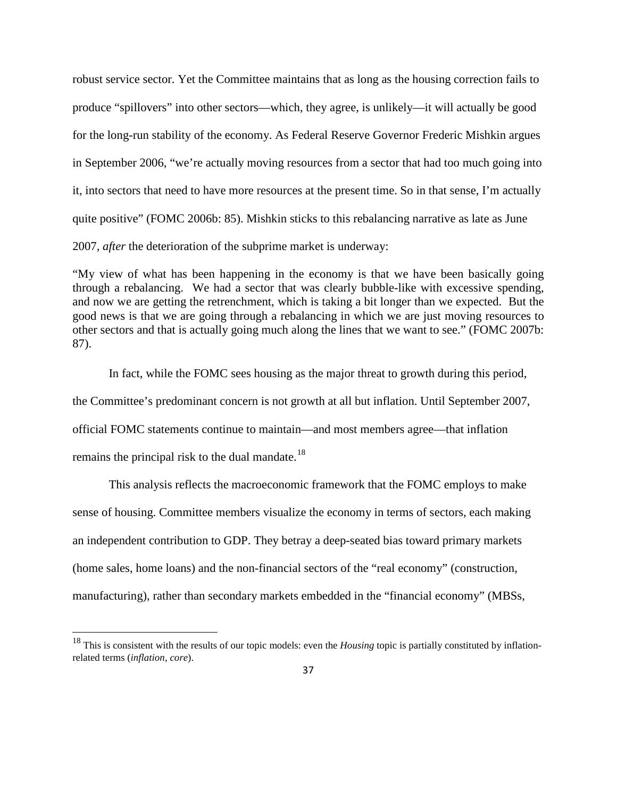robust service sector. Yet the Committee maintains that as long as the housing correction fails to produce "spillovers" into other sectors—which, they agree, is unlikely—it will actually be good for the long-run stability of the economy. As Federal Reserve Governor Frederic Mishkin argues in September 2006, "we're actually moving resources from a sector that had too much going into it, into sectors that need to have more resources at the present time. So in that sense, I'm actually quite positive" (FOMC 2006b: 85). Mishkin sticks to this rebalancing narrative as late as June 2007, *after* the deterioration of the subprime market is underway:

"My view of what has been happening in the economy is that we have been basically going through a rebalancing. We had a sector that was clearly bubble-like with excessive spending, and now we are getting the retrenchment, which is taking a bit longer than we expected. But the good news is that we are going through a rebalancing in which we are just moving resources to other sectors and that is actually going much along the lines that we want to see." (FOMC 2007b: 87).

In fact, while the FOMC sees housing as the major threat to growth during this period, the Committee's predominant concern is not growth at all but inflation. Until September 2007, official FOMC statements continue to maintain—and most members agree—that inflation remains the principal risk to the dual mandate.<sup>[18](#page-36-0)</sup>

This analysis reflects the macroeconomic framework that the FOMC employs to make sense of housing. Committee members visualize the economy in terms of sectors, each making an independent contribution to GDP. They betray a deep-seated bias toward primary markets (home sales, home loans) and the non-financial sectors of the "real economy" (construction, manufacturing), rather than secondary markets embedded in the "financial economy" (MBSs,

<span id="page-36-0"></span><sup>&</sup>lt;sup>18</sup> This is consistent with the results of our topic models: even the *Housing* topic is partially constituted by inflationrelated terms (*inflation*, *core*).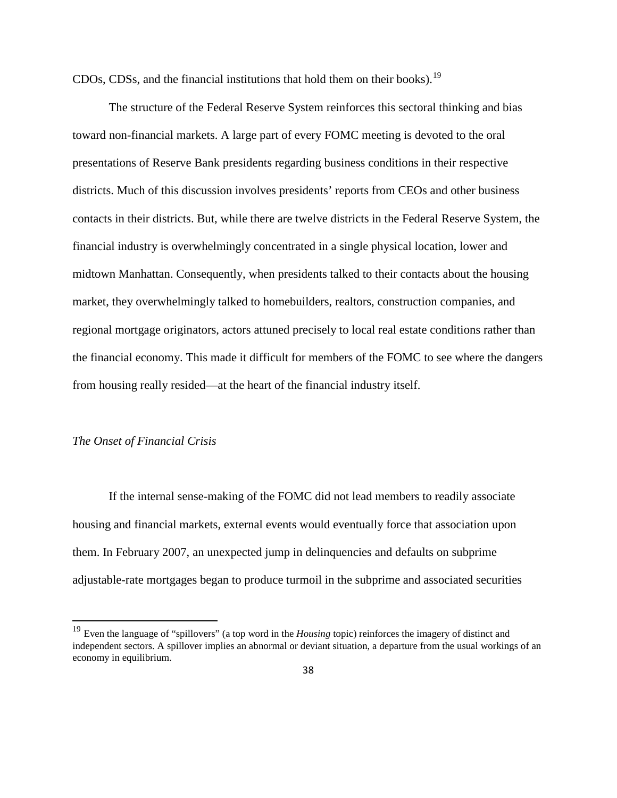CDOs, CDSs, and the financial institutions that hold them on their books).<sup>[19](#page-37-0)</sup>

The structure of the Federal Reserve System reinforces this sectoral thinking and bias toward non-financial markets. A large part of every FOMC meeting is devoted to the oral presentations of Reserve Bank presidents regarding business conditions in their respective districts. Much of this discussion involves presidents' reports from CEOs and other business contacts in their districts. But, while there are twelve districts in the Federal Reserve System, the financial industry is overwhelmingly concentrated in a single physical location, lower and midtown Manhattan. Consequently, when presidents talked to their contacts about the housing market, they overwhelmingly talked to homebuilders, realtors, construction companies, and regional mortgage originators, actors attuned precisely to local real estate conditions rather than the financial economy. This made it difficult for members of the FOMC to see where the dangers from housing really resided—at the heart of the financial industry itself.

## *The Onset of Financial Crisis*

If the internal sense-making of the FOMC did not lead members to readily associate housing and financial markets, external events would eventually force that association upon them. In February 2007, an unexpected jump in delinquencies and defaults on subprime adjustable-rate mortgages began to produce turmoil in the subprime and associated securities

<span id="page-37-0"></span><sup>19</sup> Even the language of "spillovers" (a top word in the *Housing* topic) reinforces the imagery of distinct and independent sectors. A spillover implies an abnormal or deviant situation, a departure from the usual workings of an economy in equilibrium.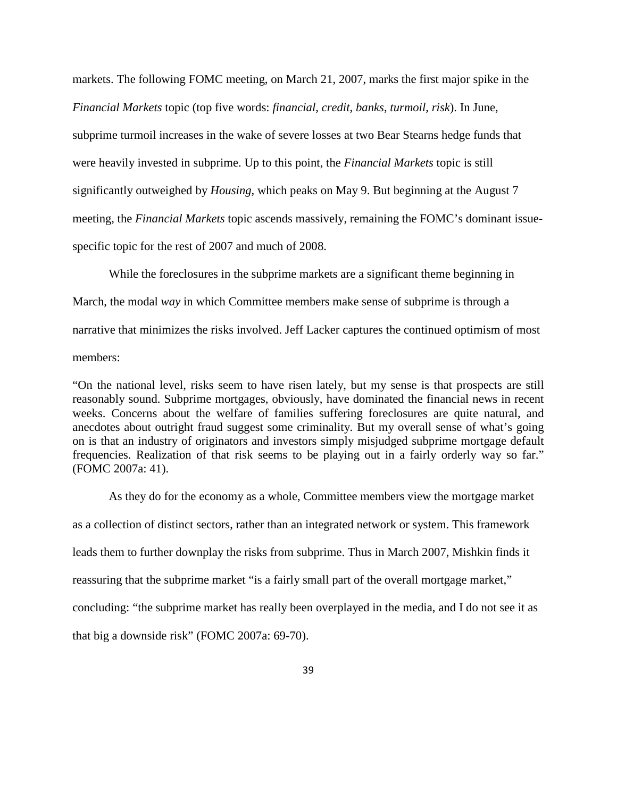markets. The following FOMC meeting, on March 21, 2007, marks the first major spike in the *Financial Markets* topic (top five words: *financial*, *credit*, *banks*, *turmoil*, *risk*). In June, subprime turmoil increases in the wake of severe losses at two Bear Stearns hedge funds that were heavily invested in subprime. Up to this point, the *Financial Markets* topic is still significantly outweighed by *Housing*, which peaks on May 9. But beginning at the August 7 meeting, the *Financial Markets* topic ascends massively, remaining the FOMC's dominant issuespecific topic for the rest of 2007 and much of 2008.

While the foreclosures in the subprime markets are a significant theme beginning in March, the modal *way* in which Committee members make sense of subprime is through a narrative that minimizes the risks involved. Jeff Lacker captures the continued optimism of most members:

"On the national level, risks seem to have risen lately, but my sense is that prospects are still reasonably sound. Subprime mortgages, obviously, have dominated the financial news in recent weeks. Concerns about the welfare of families suffering foreclosures are quite natural, and anecdotes about outright fraud suggest some criminality. But my overall sense of what's going on is that an industry of originators and investors simply misjudged subprime mortgage default frequencies. Realization of that risk seems to be playing out in a fairly orderly way so far." (FOMC 2007a: 41).

As they do for the economy as a whole, Committee members view the mortgage market as a collection of distinct sectors, rather than an integrated network or system. This framework leads them to further downplay the risks from subprime. Thus in March 2007, Mishkin finds it reassuring that the subprime market "is a fairly small part of the overall mortgage market," concluding: "the subprime market has really been overplayed in the media, and I do not see it as that big a downside risk" (FOMC 2007a: 69-70).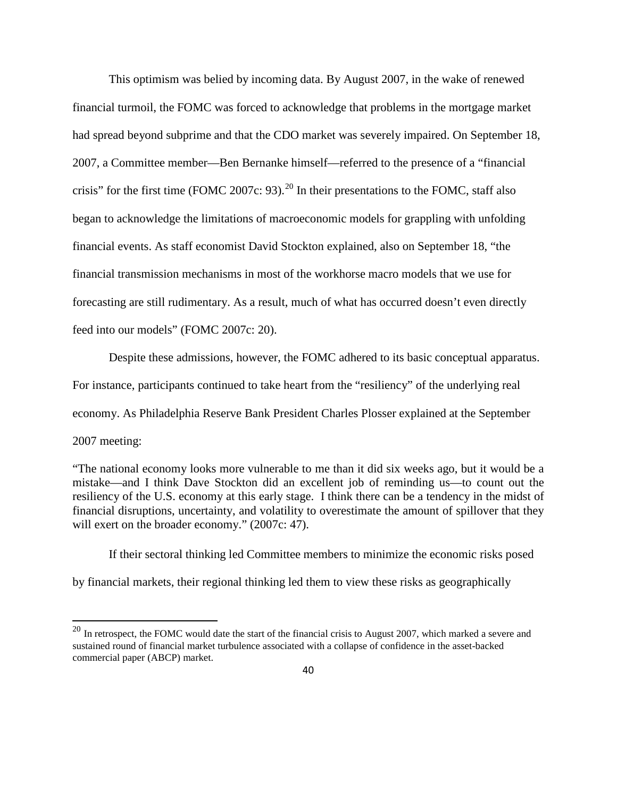This optimism was belied by incoming data. By August 2007, in the wake of renewed financial turmoil, the FOMC was forced to acknowledge that problems in the mortgage market had spread beyond subprime and that the CDO market was severely impaired. On September 18, 2007, a Committee member—Ben Bernanke himself—referred to the presence of a "financial crisis" for the first time (FOMC [20](#page-39-0)07c: 93).<sup>20</sup> In their presentations to the FOMC, staff also began to acknowledge the limitations of macroeconomic models for grappling with unfolding financial events. As staff economist David Stockton explained, also on September 18, "the financial transmission mechanisms in most of the workhorse macro models that we use for forecasting are still rudimentary. As a result, much of what has occurred doesn't even directly feed into our models" (FOMC 2007c: 20).

Despite these admissions, however, the FOMC adhered to its basic conceptual apparatus. For instance, participants continued to take heart from the "resiliency" of the underlying real economy. As Philadelphia Reserve Bank President Charles Plosser explained at the September 2007 meeting:

"The national economy looks more vulnerable to me than it did six weeks ago, but it would be a mistake—and I think Dave Stockton did an excellent job of reminding us—to count out the resiliency of the U.S. economy at this early stage. I think there can be a tendency in the midst of financial disruptions, uncertainty, and volatility to overestimate the amount of spillover that they will exert on the broader economy." (2007c: 47).

If their sectoral thinking led Committee members to minimize the economic risks posed by financial markets, their regional thinking led them to view these risks as geographically

<span id="page-39-0"></span> $20$  In retrospect, the FOMC would date the start of the financial crisis to August 2007, which marked a severe and sustained round of financial market turbulence associated with a collapse of confidence in the asset-backed commercial paper (ABCP) market.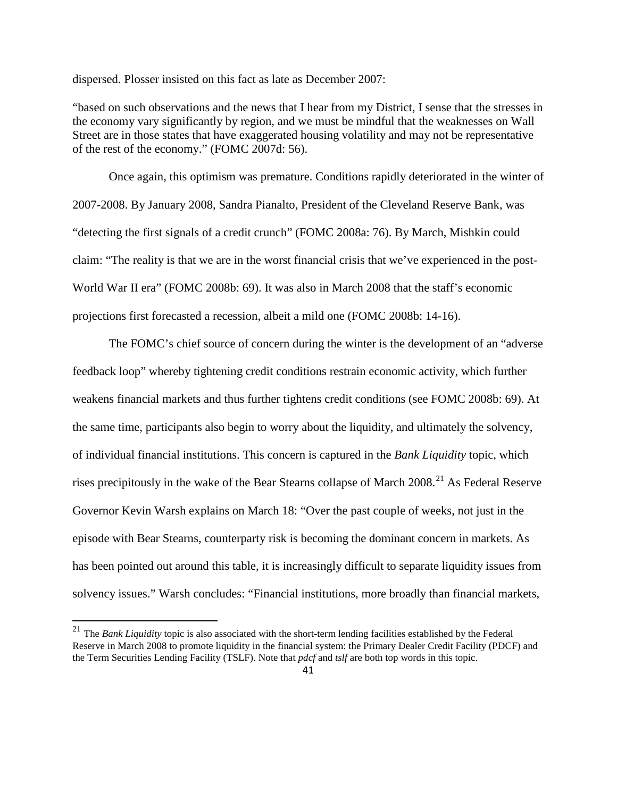dispersed. Plosser insisted on this fact as late as December 2007:

"based on such observations and the news that I hear from my District, I sense that the stresses in the economy vary significantly by region, and we must be mindful that the weaknesses on Wall Street are in those states that have exaggerated housing volatility and may not be representative of the rest of the economy." (FOMC 2007d: 56).

Once again, this optimism was premature. Conditions rapidly deteriorated in the winter of 2007-2008. By January 2008, Sandra Pianalto, President of the Cleveland Reserve Bank, was "detecting the first signals of a credit crunch" (FOMC 2008a: 76). By March, Mishkin could claim: "The reality is that we are in the worst financial crisis that we've experienced in the post-World War II era" (FOMC 2008b: 69). It was also in March 2008 that the staff's economic projections first forecasted a recession, albeit a mild one (FOMC 2008b: 14-16).

The FOMC's chief source of concern during the winter is the development of an "adverse feedback loop" whereby tightening credit conditions restrain economic activity, which further weakens financial markets and thus further tightens credit conditions (see FOMC 2008b: 69). At the same time, participants also begin to worry about the liquidity, and ultimately the solvency, of individual financial institutions. This concern is captured in the *Bank Liquidity* topic, which rises precipitously in the wake of the Bear Stearns collapse of March 2008.<sup>[21](#page-40-0)</sup> As Federal Reserve Governor Kevin Warsh explains on March 18: "Over the past couple of weeks, not just in the episode with Bear Stearns, counterparty risk is becoming the dominant concern in markets. As has been pointed out around this table, it is increasingly difficult to separate liquidity issues from solvency issues." Warsh concludes: "Financial institutions, more broadly than financial markets,

<span id="page-40-0"></span><sup>21</sup> The *Bank Liquidity* topic is also associated with the short-term lending facilities established by the Federal Reserve in March 2008 to promote liquidity in the financial system: the Primary Dealer Credit Facility (PDCF) and the Term Securities Lending Facility (TSLF). Note that *pdcf* and *tslf* are both top words in this topic.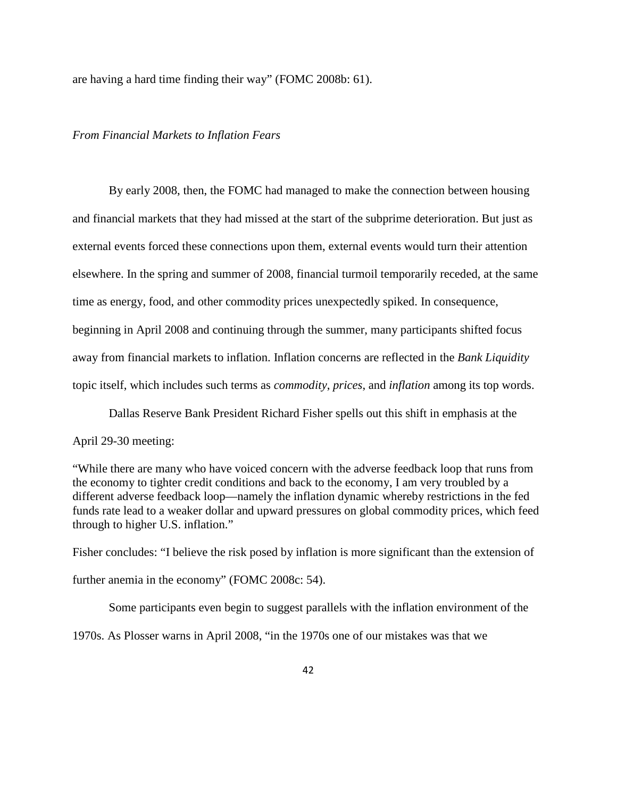are having a hard time finding their way" (FOMC 2008b: 61).

# *From Financial Markets to Inflation Fears*

By early 2008, then, the FOMC had managed to make the connection between housing and financial markets that they had missed at the start of the subprime deterioration. But just as external events forced these connections upon them, external events would turn their attention elsewhere. In the spring and summer of 2008, financial turmoil temporarily receded, at the same time as energy, food, and other commodity prices unexpectedly spiked. In consequence, beginning in April 2008 and continuing through the summer, many participants shifted focus away from financial markets to inflation. Inflation concerns are reflected in the *Bank Liquidity*  topic itself, which includes such terms as *commodity*, *prices*, and *inflation* among its top words.

Dallas Reserve Bank President Richard Fisher spells out this shift in emphasis at the April 29-30 meeting:

"While there are many who have voiced concern with the adverse feedback loop that runs from the economy to tighter credit conditions and back to the economy, I am very troubled by a different adverse feedback loop—namely the inflation dynamic whereby restrictions in the fed funds rate lead to a weaker dollar and upward pressures on global commodity prices, which feed through to higher U.S. inflation."

Fisher concludes: "I believe the risk posed by inflation is more significant than the extension of further anemia in the economy" (FOMC 2008c: 54).

Some participants even begin to suggest parallels with the inflation environment of the

1970s. As Plosser warns in April 2008, "in the 1970s one of our mistakes was that we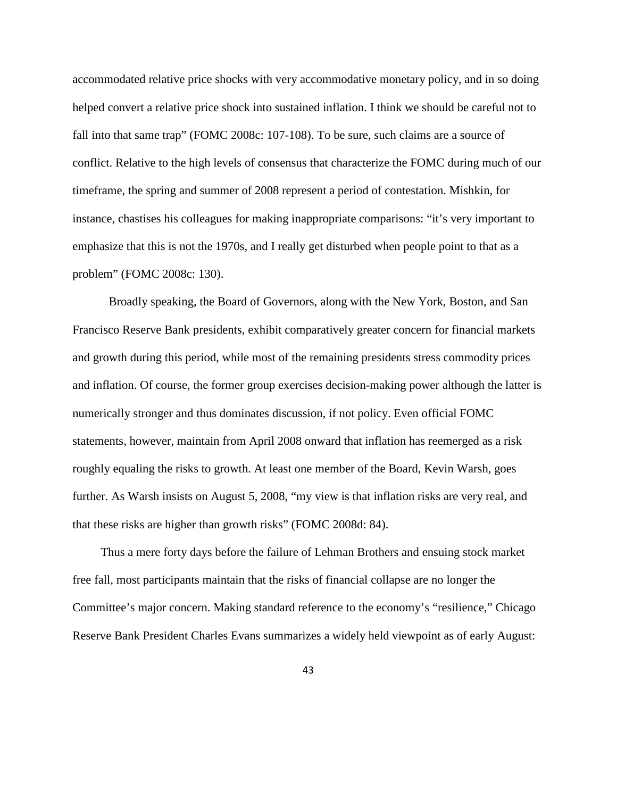accommodated relative price shocks with very accommodative monetary policy, and in so doing helped convert a relative price shock into sustained inflation. I think we should be careful not to fall into that same trap" (FOMC 2008c: 107-108). To be sure, such claims are a source of conflict. Relative to the high levels of consensus that characterize the FOMC during much of our timeframe, the spring and summer of 2008 represent a period of contestation. Mishkin, for instance, chastises his colleagues for making inappropriate comparisons: "it's very important to emphasize that this is not the 1970s, and I really get disturbed when people point to that as a problem" (FOMC 2008c: 130).

Broadly speaking, the Board of Governors, along with the New York, Boston, and San Francisco Reserve Bank presidents, exhibit comparatively greater concern for financial markets and growth during this period, while most of the remaining presidents stress commodity prices and inflation. Of course, the former group exercises decision-making power although the latter is numerically stronger and thus dominates discussion, if not policy. Even official FOMC statements, however, maintain from April 2008 onward that inflation has reemerged as a risk roughly equaling the risks to growth. At least one member of the Board, Kevin Warsh, goes further. As Warsh insists on August 5, 2008, "my view is that inflation risks are very real, and that these risks are higher than growth risks" (FOMC 2008d: 84).

Thus a mere forty days before the failure of Lehman Brothers and ensuing stock market free fall, most participants maintain that the risks of financial collapse are no longer the Committee's major concern. Making standard reference to the economy's "resilience," Chicago Reserve Bank President Charles Evans summarizes a widely held viewpoint as of early August: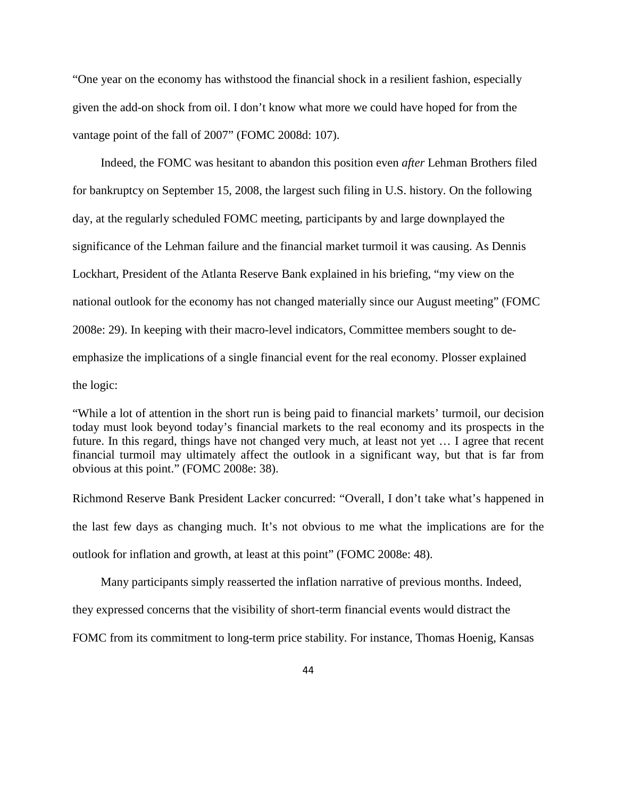"One year on the economy has withstood the financial shock in a resilient fashion, especially given the add-on shock from oil. I don't know what more we could have hoped for from the vantage point of the fall of 2007" (FOMC 2008d: 107).

Indeed, the FOMC was hesitant to abandon this position even *after* Lehman Brothers filed for bankruptcy on September 15, 2008, the largest such filing in U.S. history. On the following day, at the regularly scheduled FOMC meeting, participants by and large downplayed the significance of the Lehman failure and the financial market turmoil it was causing. As Dennis Lockhart, President of the Atlanta Reserve Bank explained in his briefing, "my view on the national outlook for the economy has not changed materially since our August meeting" (FOMC 2008e: 29). In keeping with their macro-level indicators, Committee members sought to deemphasize the implications of a single financial event for the real economy. Plosser explained the logic:

"While a lot of attention in the short run is being paid to financial markets' turmoil, our decision today must look beyond today's financial markets to the real economy and its prospects in the future. In this regard, things have not changed very much, at least not yet … I agree that recent financial turmoil may ultimately affect the outlook in a significant way, but that is far from obvious at this point." (FOMC 2008e: 38).

Richmond Reserve Bank President Lacker concurred: "Overall, I don't take what's happened in the last few days as changing much. It's not obvious to me what the implications are for the outlook for inflation and growth, at least at this point" (FOMC 2008e: 48).

Many participants simply reasserted the inflation narrative of previous months. Indeed, they expressed concerns that the visibility of short-term financial events would distract the

FOMC from its commitment to long-term price stability. For instance, Thomas Hoenig, Kansas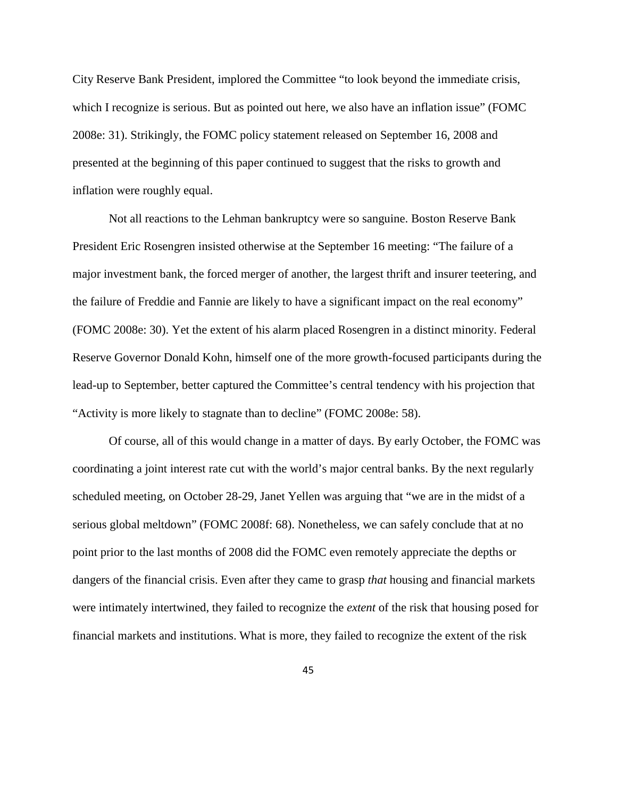City Reserve Bank President, implored the Committee "to look beyond the immediate crisis, which I recognize is serious. But as pointed out here, we also have an inflation issue" (FOMC 2008e: 31). Strikingly, the FOMC policy statement released on September 16, 2008 and presented at the beginning of this paper continued to suggest that the risks to growth and inflation were roughly equal.

Not all reactions to the Lehman bankruptcy were so sanguine. Boston Reserve Bank President Eric Rosengren insisted otherwise at the September 16 meeting: "The failure of a major investment bank, the forced merger of another, the largest thrift and insurer teetering, and the failure of Freddie and Fannie are likely to have a significant impact on the real economy" (FOMC 2008e: 30). Yet the extent of his alarm placed Rosengren in a distinct minority. Federal Reserve Governor Donald Kohn, himself one of the more growth-focused participants during the lead-up to September, better captured the Committee's central tendency with his projection that "Activity is more likely to stagnate than to decline" (FOMC 2008e: 58).

Of course, all of this would change in a matter of days. By early October, the FOMC was coordinating a joint interest rate cut with the world's major central banks. By the next regularly scheduled meeting, on October 28-29, Janet Yellen was arguing that "we are in the midst of a serious global meltdown" (FOMC 2008f: 68). Nonetheless, we can safely conclude that at no point prior to the last months of 2008 did the FOMC even remotely appreciate the depths or dangers of the financial crisis. Even after they came to grasp *that* housing and financial markets were intimately intertwined, they failed to recognize the *extent* of the risk that housing posed for financial markets and institutions. What is more, they failed to recognize the extent of the risk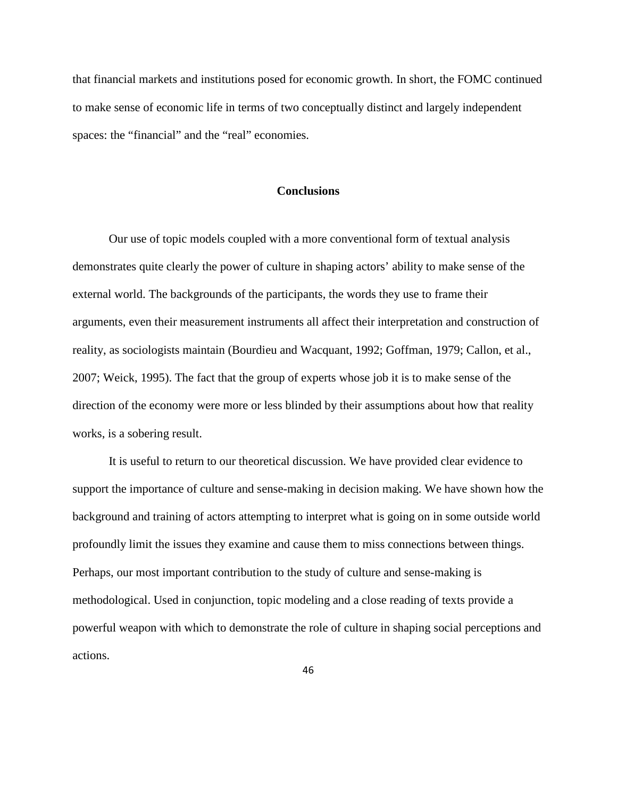that financial markets and institutions posed for economic growth. In short, the FOMC continued to make sense of economic life in terms of two conceptually distinct and largely independent spaces: the "financial" and the "real" economies.

# **Conclusions**

Our use of topic models coupled with a more conventional form of textual analysis demonstrates quite clearly the power of culture in shaping actors' ability to make sense of the external world. The backgrounds of the participants, the words they use to frame their arguments, even their measurement instruments all affect their interpretation and construction of reality, as sociologists maintain (Bourdieu and Wacquant, 1992; Goffman, 1979; Callon, et al., 2007; Weick, 1995). The fact that the group of experts whose job it is to make sense of the direction of the economy were more or less blinded by their assumptions about how that reality works, is a sobering result.

It is useful to return to our theoretical discussion. We have provided clear evidence to support the importance of culture and sense-making in decision making. We have shown how the background and training of actors attempting to interpret what is going on in some outside world profoundly limit the issues they examine and cause them to miss connections between things. Perhaps, our most important contribution to the study of culture and sense-making is methodological. Used in conjunction, topic modeling and a close reading of texts provide a powerful weapon with which to demonstrate the role of culture in shaping social perceptions and actions.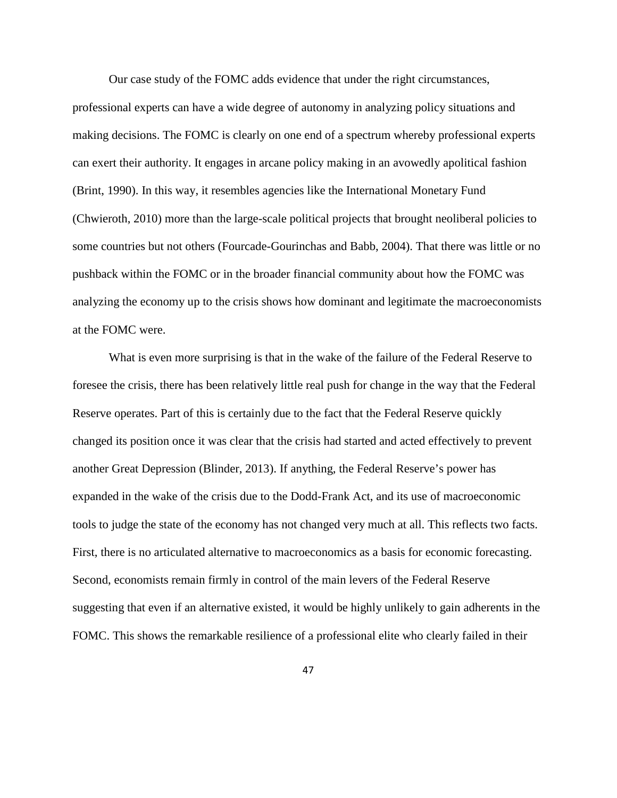Our case study of the FOMC adds evidence that under the right circumstances,

professional experts can have a wide degree of autonomy in analyzing policy situations and making decisions. The FOMC is clearly on one end of a spectrum whereby professional experts can exert their authority. It engages in arcane policy making in an avowedly apolitical fashion (Brint, 1990). In this way, it resembles agencies like the International Monetary Fund (Chwieroth, 2010) more than the large-scale political projects that brought neoliberal policies to some countries but not others (Fourcade-Gourinchas and Babb, 2004). That there was little or no pushback within the FOMC or in the broader financial community about how the FOMC was analyzing the economy up to the crisis shows how dominant and legitimate the macroeconomists at the FOMC were.

What is even more surprising is that in the wake of the failure of the Federal Reserve to foresee the crisis, there has been relatively little real push for change in the way that the Federal Reserve operates. Part of this is certainly due to the fact that the Federal Reserve quickly changed its position once it was clear that the crisis had started and acted effectively to prevent another Great Depression (Blinder, 2013). If anything, the Federal Reserve's power has expanded in the wake of the crisis due to the Dodd-Frank Act, and its use of macroeconomic tools to judge the state of the economy has not changed very much at all. This reflects two facts. First, there is no articulated alternative to macroeconomics as a basis for economic forecasting. Second, economists remain firmly in control of the main levers of the Federal Reserve suggesting that even if an alternative existed, it would be highly unlikely to gain adherents in the FOMC. This shows the remarkable resilience of a professional elite who clearly failed in their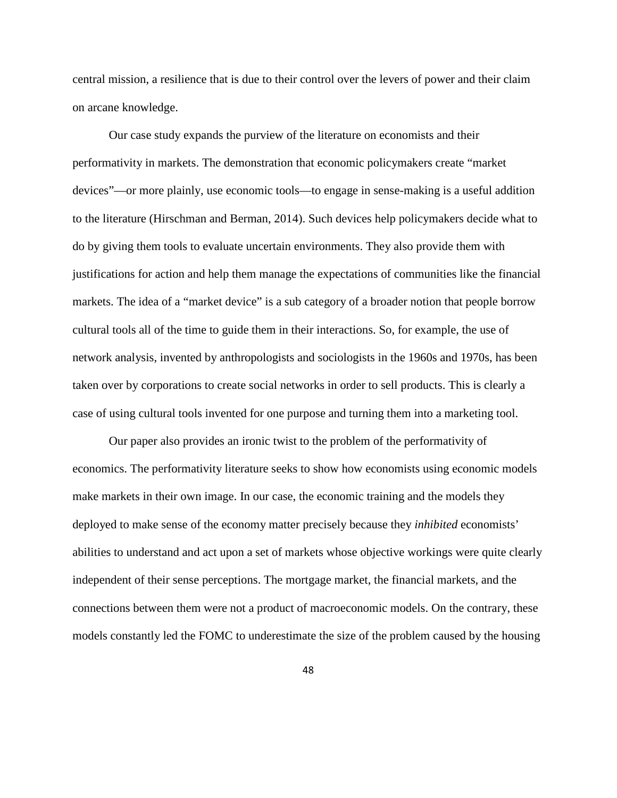central mission, a resilience that is due to their control over the levers of power and their claim on arcane knowledge.

Our case study expands the purview of the literature on economists and their performativity in markets. The demonstration that economic policymakers create "market devices"—or more plainly, use economic tools—to engage in sense-making is a useful addition to the literature (Hirschman and Berman, 2014). Such devices help policymakers decide what to do by giving them tools to evaluate uncertain environments. They also provide them with justifications for action and help them manage the expectations of communities like the financial markets. The idea of a "market device" is a sub category of a broader notion that people borrow cultural tools all of the time to guide them in their interactions. So, for example, the use of network analysis, invented by anthropologists and sociologists in the 1960s and 1970s, has been taken over by corporations to create social networks in order to sell products. This is clearly a case of using cultural tools invented for one purpose and turning them into a marketing tool.

Our paper also provides an ironic twist to the problem of the performativity of economics. The performativity literature seeks to show how economists using economic models make markets in their own image. In our case, the economic training and the models they deployed to make sense of the economy matter precisely because they *inhibited* economists' abilities to understand and act upon a set of markets whose objective workings were quite clearly independent of their sense perceptions. The mortgage market, the financial markets, and the connections between them were not a product of macroeconomic models. On the contrary, these models constantly led the FOMC to underestimate the size of the problem caused by the housing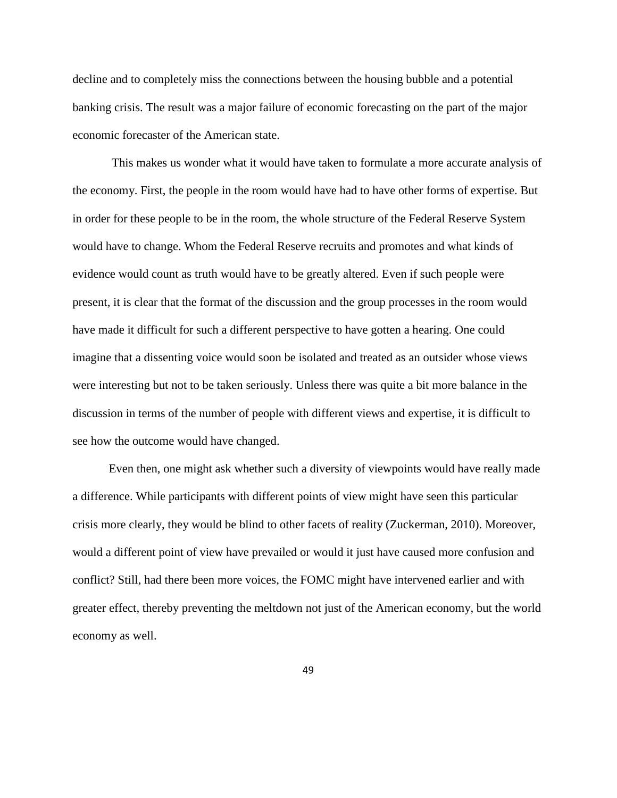decline and to completely miss the connections between the housing bubble and a potential banking crisis. The result was a major failure of economic forecasting on the part of the major economic forecaster of the American state.

This makes us wonder what it would have taken to formulate a more accurate analysis of the economy. First, the people in the room would have had to have other forms of expertise. But in order for these people to be in the room, the whole structure of the Federal Reserve System would have to change. Whom the Federal Reserve recruits and promotes and what kinds of evidence would count as truth would have to be greatly altered. Even if such people were present, it is clear that the format of the discussion and the group processes in the room would have made it difficult for such a different perspective to have gotten a hearing. One could imagine that a dissenting voice would soon be isolated and treated as an outsider whose views were interesting but not to be taken seriously. Unless there was quite a bit more balance in the discussion in terms of the number of people with different views and expertise, it is difficult to see how the outcome would have changed.

Even then, one might ask whether such a diversity of viewpoints would have really made a difference. While participants with different points of view might have seen this particular crisis more clearly, they would be blind to other facets of reality (Zuckerman, 2010). Moreover, would a different point of view have prevailed or would it just have caused more confusion and conflict? Still, had there been more voices, the FOMC might have intervened earlier and with greater effect, thereby preventing the meltdown not just of the American economy, but the world economy as well.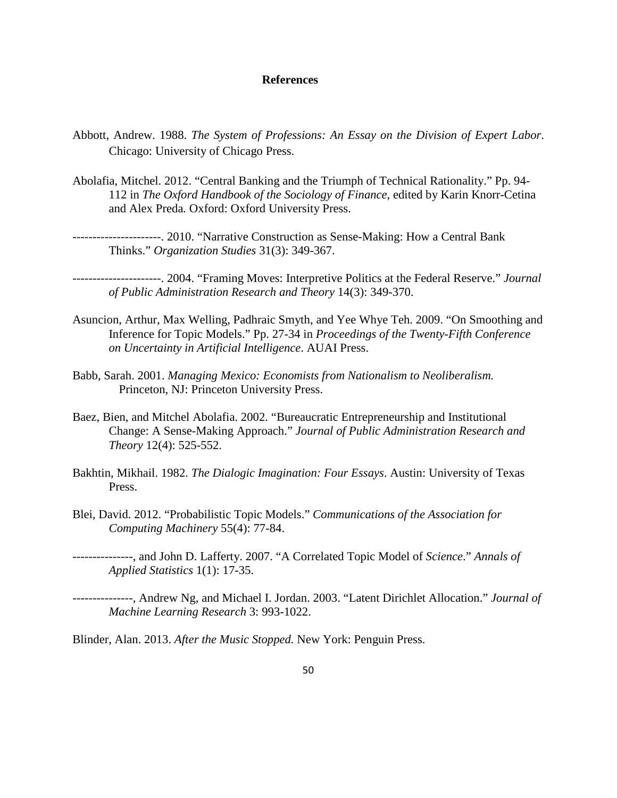## **References**

- Abbott, Andrew. 1988. *The System of Professions: An Essay on the Division of Expert Labor*. Chicago: University of Chicago Press.
- Abolafia, Mitchel. 2012. "Central Banking and the Triumph of Technical Rationality." Pp. 94- 112 in *The Oxford Handbook of the Sociology of Finance*, edited by Karin Knorr-Cetina and Alex Preda*.* Oxford: Oxford University Press.
- ----------------------. 2010. "Narrative Construction as Sense-Making: How a Central Bank Thinks." *Organization Studies* 31(3): 349-367.
	- ----------------------. 2004. "Framing Moves: Interpretive Politics at the Federal Reserve." *Journal of Public Administration Research and Theory* 14(3): 349-370.
- Asuncion, Arthur, Max Welling, Padhraic Smyth, and Yee Whye Teh. 2009. "On Smoothing and Inference for Topic Models." Pp. 27-34 in *Proceedings of the Twenty-Fifth Conference on Uncertainty in Artificial Intelligence*. AUAI Press.
- Babb, Sarah. 2001. *Managing Mexico: Economists from Nationalism to Neoliberalism.* Princeton, NJ: Princeton University Press.
- Baez, Bien, and Mitchel Abolafia. 2002. "Bureaucratic Entrepreneurship and Institutional Change: A Sense-Making Approach." *Journal of Public Administration Research and Theory* 12(4): 525-552.
- Bakhtin, Mikhail. 1982. *The Dialogic Imagination: Four Essays*. Austin: University of Texas Press.
- Blei, David. 2012. "Probabilistic Topic Models." *Communications of the Association for Computing Machinery* 55(4): 77-84.
- ---------------, and John D. Lafferty. 2007. "A Correlated Topic Model of *Science*." *Annals of Applied Statistics* 1(1): 17-35.
- ---------------, Andrew Ng, and Michael I. Jordan. 2003. "Latent Dirichlet Allocation." *Journal of Machine Learning Research* 3: 993-1022.

Blinder, Alan. 2013. *After the Music Stopped.* New York: Penguin Press.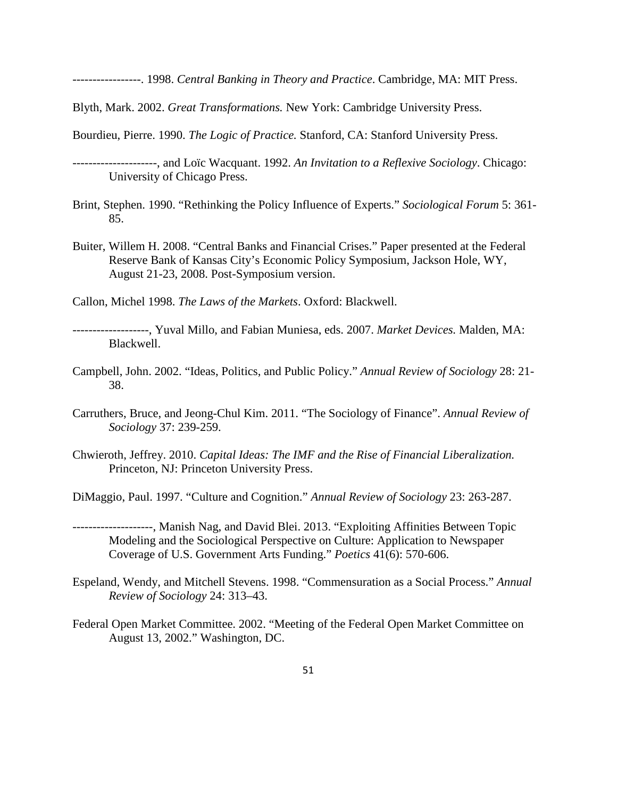-----------------. 1998. *Central Banking in Theory and Practice*. Cambridge, MA: MIT Press.

Blyth, Mark. 2002. *Great Transformations.* New York: Cambridge University Press.

Bourdieu, Pierre. 1990. *The Logic of Practice.* Stanford, CA: Stanford University Press.

- ---------------------, and Loïc Wacquant. 1992. *An Invitation to a Reflexive Sociology*. Chicago: University of Chicago Press.
- Brint, Stephen. 1990. "Rethinking the Policy Influence of Experts." *Sociological Forum* 5: 361- 85.
- Buiter, Willem H. 2008. "Central Banks and Financial Crises." Paper presented at the Federal Reserve Bank of Kansas City's Economic Policy Symposium, Jackson Hole, WY, August 21-23, 2008. Post-Symposium version.

Callon, Michel 1998. *The Laws of the Markets*. Oxford: Blackwell.

- -------------------, Yuval Millo, and Fabian Muniesa, eds. 2007. *Market Devices.* Malden, MA: Blackwell.
- Campbell, John. 2002. "Ideas, Politics, and Public Policy." *Annual Review of Sociology* 28: 21- 38.
- Carruthers, Bruce, and Jeong-Chul Kim. 2011. "The Sociology of Finance". *Annual Review of Sociology* 37: 239-259.
- Chwieroth, Jeffrey. 2010. *Capital Ideas: The IMF and the Rise of Financial Liberalization.* Princeton, NJ: Princeton University Press.

DiMaggio, Paul. 1997. "Culture and Cognition." *Annual Review of Sociology* 23: 263-287.

- --------------------, Manish Nag, and David Blei. 2013. "Exploiting Affinities Between Topic Modeling and the Sociological Perspective on Culture: Application to Newspaper Coverage of U.S. Government Arts Funding." *Poetics* 41(6): 570-606.
- Espeland, Wendy, and Mitchell Stevens. 1998. "Commensuration as a Social Process." *Annual Review of Sociology* 24: 313–43.
- Federal Open Market Committee. 2002. "Meeting of the Federal Open Market Committee on August 13, 2002." Washington, DC.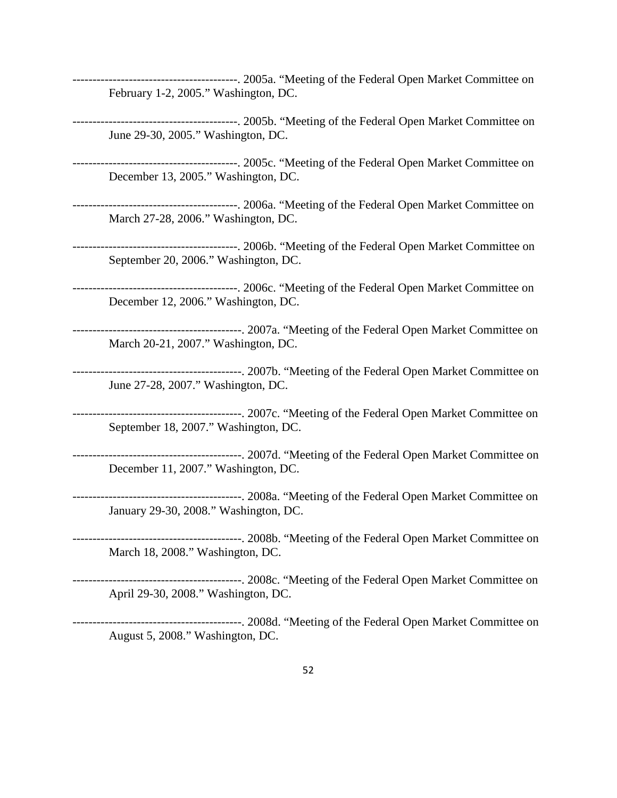-----------------------------------------. 2005a. "Meeting of the Federal Open Market Committee on February 1-2, 2005." Washington, DC.

-----------------------------------------. 2005b. "Meeting of the Federal Open Market Committee on June 29-30, 2005." Washington, DC.

-----------------------------------------. 2005c. "Meeting of the Federal Open Market Committee on December 13, 2005." Washington, DC.

-----------------------------------------. 2006a. "Meeting of the Federal Open Market Committee on March 27-28, 2006." Washington, DC.

-----------------------------------------. 2006b. "Meeting of the Federal Open Market Committee on September 20, 2006." Washington, DC.

-----------------------------------------. 2006c. "Meeting of the Federal Open Market Committee on December 12, 2006." Washington, DC.

------------------------------------------. 2007a. "Meeting of the Federal Open Market Committee on March 20-21, 2007." Washington, DC.

------------------------------------------. 2007b. "Meeting of the Federal Open Market Committee on June 27-28, 2007." Washington, DC.

------------------------------------------. 2007c. "Meeting of the Federal Open Market Committee on September 18, 2007." Washington, DC.

------------------------------------------. 2007d. "Meeting of the Federal Open Market Committee on December 11, 2007." Washington, DC.

------------------------------------------. 2008a. "Meeting of the Federal Open Market Committee on January 29-30, 2008." Washington, DC.

------------------------------------------. 2008b. "Meeting of the Federal Open Market Committee on March 18, 2008." Washington, DC.

------------------------------------------. 2008c. "Meeting of the Federal Open Market Committee on April 29-30, 2008." Washington, DC.

------------------------------------------. 2008d. "Meeting of the Federal Open Market Committee on August 5, 2008." Washington, DC.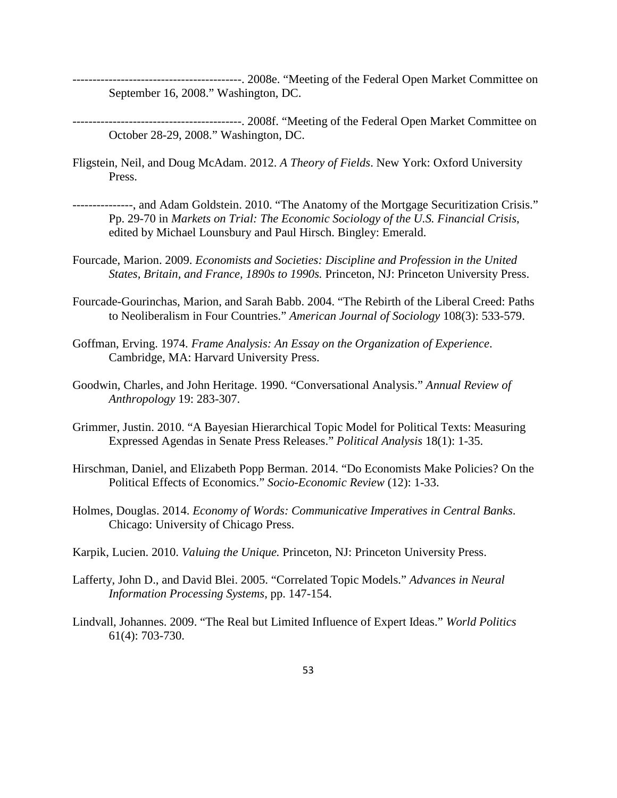------------------------------------------. 2008e. "Meeting of the Federal Open Market Committee on September 16, 2008." Washington, DC.

------------------------------------------. 2008f. "Meeting of the Federal Open Market Committee on October 28-29, 2008." Washington, DC.

- Fligstein, Neil, and Doug McAdam. 2012. *A Theory of Fields*. New York: Oxford University Press.
- ---------------, and Adam Goldstein. 2010. "The Anatomy of the Mortgage Securitization Crisis." Pp. 29-70 in *Markets on Trial: The Economic Sociology of the U.S. Financial Crisis*, edited by Michael Lounsbury and Paul Hirsch. Bingley: Emerald.
- Fourcade, Marion. 2009. *Economists and Societies: Discipline and Profession in the United States, Britain, and France, 1890s to 1990s.* Princeton, NJ: Princeton University Press.
- Fourcade-Gourinchas, Marion, and Sarah Babb. 2004. "The Rebirth of the Liberal Creed: Paths to Neoliberalism in Four Countries." *American Journal of Sociology* 108(3): 533-579.
- Goffman, Erving. 1974. *Frame Analysis: An Essay on the Organization of Experience*. Cambridge, MA: Harvard University Press.
- Goodwin, Charles, and John Heritage. 1990. "Conversational Analysis." *Annual Review of Anthropology* 19: 283-307.
- Grimmer, Justin. 2010. "A Bayesian Hierarchical Topic Model for Political Texts: Measuring Expressed Agendas in Senate Press Releases." *Political Analysis* 18(1): 1-35.
- Hirschman, Daniel, and Elizabeth Popp Berman. 2014. "Do Economists Make Policies? On the Political Effects of Economics." *Socio-Economic Review* (12): 1-33.
- Holmes, Douglas. 2014. *Economy of Words: Communicative Imperatives in Central Banks*. Chicago: University of Chicago Press.
- Karpik, Lucien. 2010. *Valuing the Unique.* Princeton, NJ: Princeton University Press.
- Lafferty, John D., and David Blei. 2005. "Correlated Topic Models." *Advances in Neural Information Processing Systems*, pp. 147-154.
- Lindvall, Johannes. 2009. "The Real but Limited Influence of Expert Ideas." *World Politics* 61(4): 703-730.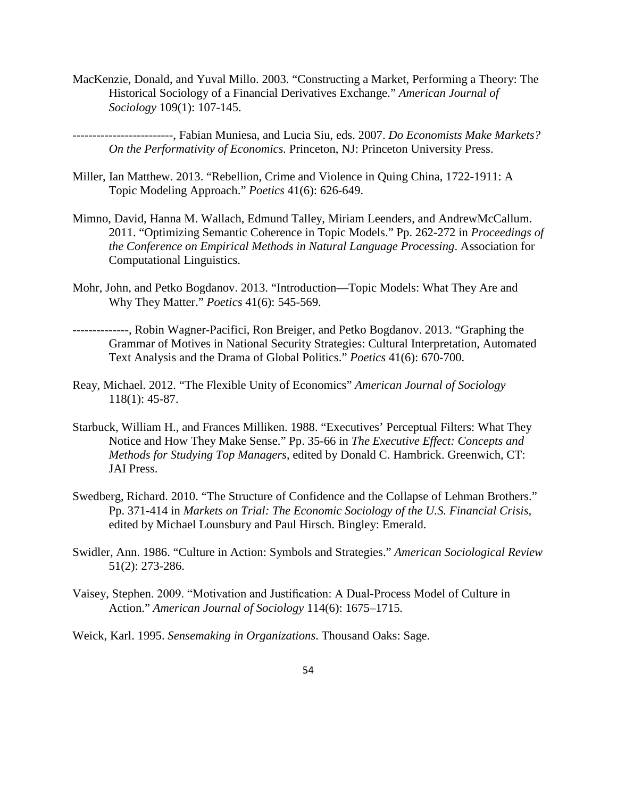MacKenzie, Donald, and Yuval Millo. 2003. "Constructing a Market, Performing a Theory: The Historical Sociology of a Financial Derivatives Exchange." *American Journal of Sociology* 109(1): 107-145.

-------------------------, Fabian Muniesa, and Lucia Siu, eds. 2007. *Do Economists Make Markets? On the Performativity of Economics.* Princeton, NJ: Princeton University Press.

- Miller, Ian Matthew. 2013. "Rebellion, Crime and Violence in Quing China, 1722-1911: A Topic Modeling Approach." *Poetics* 41(6): 626-649.
- Mimno, David, Hanna M. Wallach, Edmund Talley, Miriam Leenders, and AndrewMcCallum. 2011. "Optimizing Semantic Coherence in Topic Models." Pp. 262-272 in *Proceedings of the Conference on Empirical Methods in Natural Language Processing*. Association for Computational Linguistics.
- Mohr, John, and Petko Bogdanov. 2013. "Introduction—Topic Models: What They Are and Why They Matter." *Poetics* 41(6): 545-569.
- --------------, Robin Wagner-Pacifici, Ron Breiger, and Petko Bogdanov. 2013. "Graphing the Grammar of Motives in National Security Strategies: Cultural Interpretation, Automated Text Analysis and the Drama of Global Politics." *Poetics* 41(6): 670-700.
- Reay, Michael. 2012. "The Flexible Unity of Economics" *American Journal of Sociology* 118(1): 45-87.
- Starbuck, William H., and Frances Milliken. 1988. "Executives' Perceptual Filters: What They Notice and How They Make Sense." Pp. 35-66 in *The Executive Effect: Concepts and Methods for Studying Top Managers*, edited by Donald C. Hambrick. Greenwich, CT: JAI Press.
- Swedberg, Richard. 2010. "The Structure of Confidence and the Collapse of Lehman Brothers." Pp. 371-414 in *Markets on Trial: The Economic Sociology of the U.S. Financial Crisis*, edited by Michael Lounsbury and Paul Hirsch. Bingley: Emerald.
- Swidler, Ann. 1986. "Culture in Action: Symbols and Strategies." *American Sociological Review* 51(2): 273-286.
- Vaisey, Stephen. 2009. "Motivation and Justification: A Dual-Process Model of Culture in Action." *American Journal of Sociology* 114(6): 1675–1715*.*
- Weick, Karl. 1995. *Sensemaking in Organizations*. Thousand Oaks: Sage.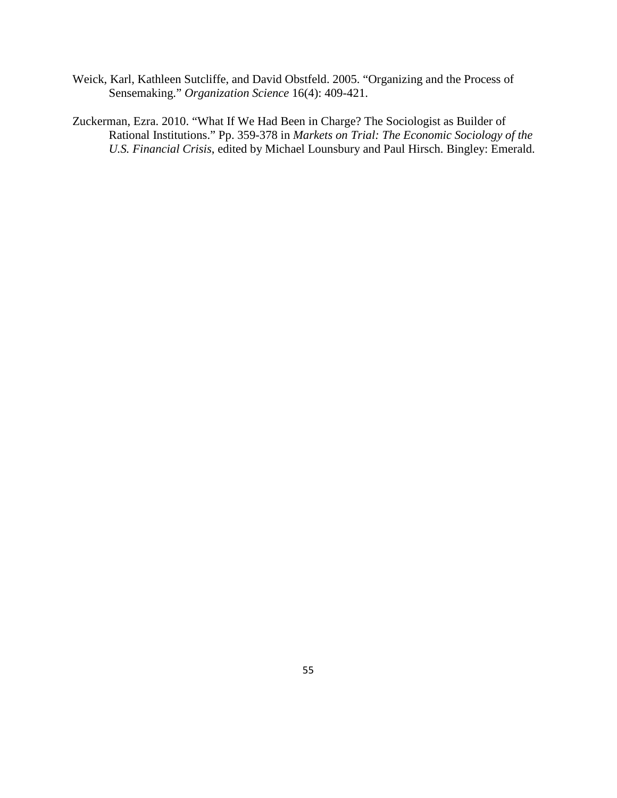- Weick, Karl, Kathleen Sutcliffe, and David Obstfeld. 2005. "Organizing and the Process of Sensemaking." *Organization Science* 16(4): 409-421.
- Zuckerman, Ezra. 2010. "What If We Had Been in Charge? The Sociologist as Builder of Rational Institutions." Pp. 359-378 in *Markets on Trial: The Economic Sociology of the U.S. Financial Crisis*, edited by Michael Lounsbury and Paul Hirsch. Bingley: Emerald.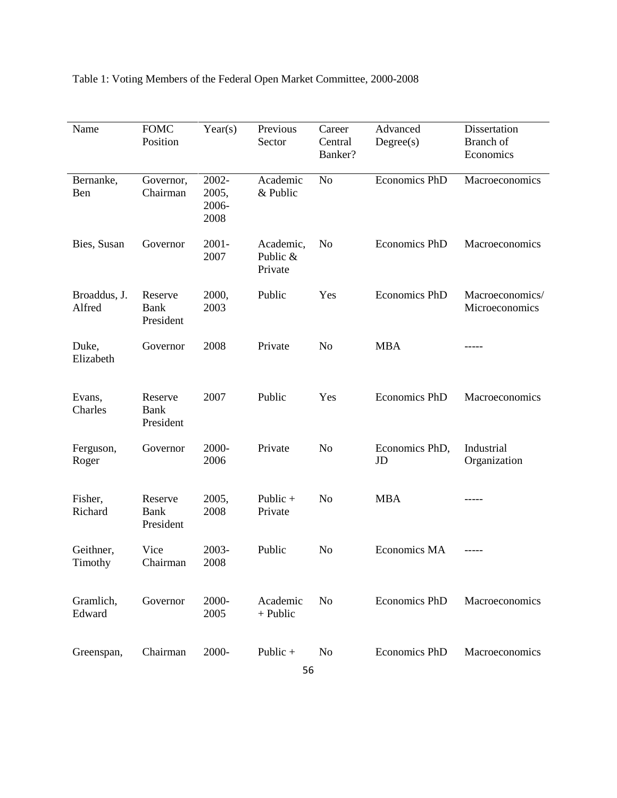Table 1: Voting Members of the Federal Open Market Committee, 2000-2008

| Name                   | <b>FOMC</b><br>Position             | Year(s)                         | Previous<br>Sector               | Career<br>Central<br>Banker? | Advanced<br>Degree(s) | Dissertation<br>Branch of<br>Economics |
|------------------------|-------------------------------------|---------------------------------|----------------------------------|------------------------------|-----------------------|----------------------------------------|
| Bernanke,<br>Ben       | Governor,<br>Chairman               | 2002-<br>2005,<br>2006-<br>2008 | Academic<br>& Public             | N <sub>o</sub>               | <b>Economics PhD</b>  | Macroeconomics                         |
| Bies, Susan            | Governor                            | $2001 -$<br>2007                | Academic,<br>Public &<br>Private | N <sub>o</sub>               | <b>Economics PhD</b>  | Macroeconomics                         |
| Broaddus, J.<br>Alfred | Reserve<br>Bank<br>President        | 2000,<br>2003                   | Public                           | Yes                          | <b>Economics PhD</b>  | Macroeconomics/<br>Microeconomics      |
| Duke,<br>Elizabeth     | Governor                            | 2008                            | Private                          | N <sub>0</sub>               | <b>MBA</b>            |                                        |
| Evans,<br>Charles      | Reserve<br><b>Bank</b><br>President | 2007                            | Public                           | Yes                          | <b>Economics PhD</b>  | Macroeconomics                         |
| Ferguson,<br>Roger     | Governor                            | 2000-<br>2006                   | Private                          | N <sub>0</sub>               | Economics PhD,<br>JD  | Industrial<br>Organization             |
| Fisher,<br>Richard     | Reserve<br>Bank<br>President        | 2005,<br>2008                   | Public $+$<br>Private            | N <sub>0</sub>               | <b>MBA</b>            |                                        |
| Geithner,<br>Timothy   | Vice<br>Chairman                    | 2003-<br>2008                   | Public                           | No                           | Economics MA          |                                        |
| Gramlich,<br>Edward    | Governor                            | 2000-<br>2005                   | Academic<br>+ Public             | No                           | <b>Economics PhD</b>  | Macroeconomics                         |
| Greenspan,             | Chairman                            | 2000-                           | Public +                         | N <sub>o</sub>               | <b>Economics PhD</b>  | Macroeconomics                         |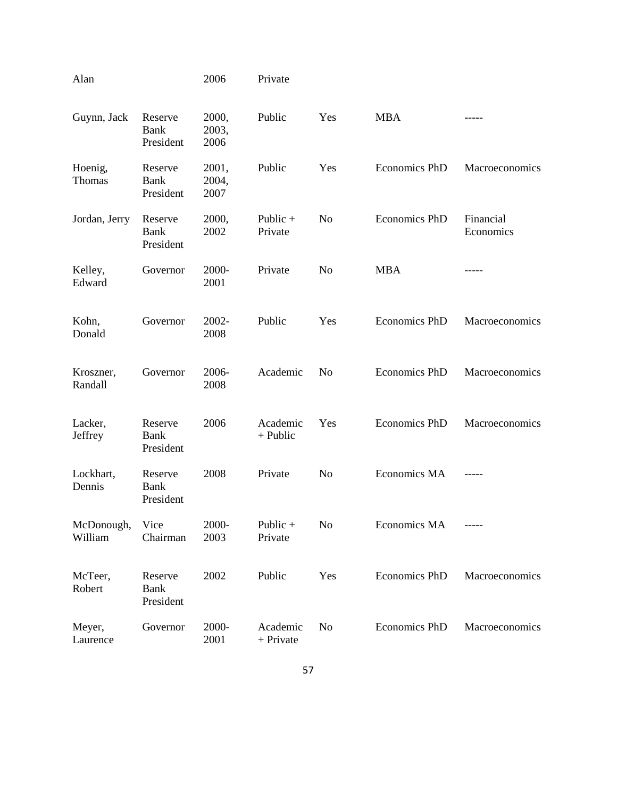| Alan                       |                                     | 2006                   | Private               |                |                      |                        |
|----------------------------|-------------------------------------|------------------------|-----------------------|----------------|----------------------|------------------------|
| Guynn, Jack                | Reserve<br><b>Bank</b><br>President | 2000,<br>2003,<br>2006 | Public                | Yes            | <b>MBA</b>           |                        |
| Hoenig,<br>Thomas          | Reserve<br>Bank<br>President        | 2001,<br>2004,<br>2007 | Public                | Yes            | Economics PhD        | Macroeconomics         |
| Jordan, Jerry              | Reserve<br>Bank<br>President        | 2000,<br>2002          | Public $+$<br>Private | N <sub>o</sub> | <b>Economics PhD</b> | Financial<br>Economics |
| Kelley,<br>Edward          | Governor                            | 2000-<br>2001          | Private               | N <sub>o</sub> | <b>MBA</b>           | -----                  |
| Kohn,<br>Donald            | Governor                            | 2002-<br>2008          | Public                | Yes            | <b>Economics PhD</b> | Macroeconomics         |
| Kroszner,<br>Randall       | Governor                            | 2006-<br>2008          | Academic              | N <sub>o</sub> | <b>Economics PhD</b> | Macroeconomics         |
| Lacker,<br>Jeffrey         | Reserve<br>Bank<br>President        | 2006                   | Academic<br>+ Public  | Yes            | <b>Economics PhD</b> | Macroeconomics         |
| Lockhart,<br>Dennis        | Reserve<br>Bank<br>President        | 2008                   | Private               | N <sub>o</sub> | Economics MA         |                        |
| McDonough, Vice<br>William | Chairman                            | 2000-<br>2003          | Public $+$<br>Private | No             | Economics MA         | ______                 |
| McTeer,<br>Robert          | Reserve<br>Bank<br>President        | 2002                   | Public                | Yes            | Economics PhD        | Macroeconomics         |
| Meyer,<br>Laurence         | Governor                            | 2000-<br>2001          | Academic<br>+ Private | N <sub>o</sub> | <b>Economics PhD</b> | Macroeconomics         |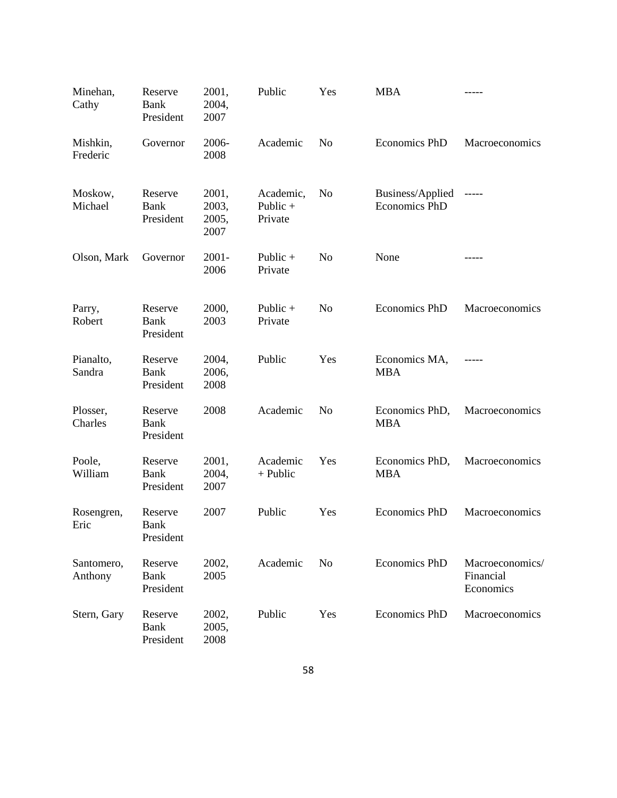| Minehan,<br>Cathy     | Reserve<br>Bank<br>President        | 2001,<br>2004,<br>2007          | Public                           | Yes            | <b>MBA</b>                               | -----                                     |
|-----------------------|-------------------------------------|---------------------------------|----------------------------------|----------------|------------------------------------------|-------------------------------------------|
| Mishkin,<br>Frederic  | Governor                            | 2006-<br>2008                   | Academic                         | N <sub>o</sub> | <b>Economics PhD</b>                     | Macroeconomics                            |
| Moskow,<br>Michael    | Reserve<br>Bank<br>President        | 2001,<br>2003,<br>2005,<br>2007 | Academic,<br>Public +<br>Private | N <sub>o</sub> | Business/Applied<br><b>Economics PhD</b> | -----                                     |
| Olson, Mark           | Governor                            | $2001 -$<br>2006                | Public $+$<br>Private            | N <sub>o</sub> | None                                     |                                           |
| Parry,<br>Robert      | Reserve<br><b>Bank</b><br>President | 2000,<br>2003                   | Public $+$<br>Private            | N <sub>o</sub> | <b>Economics PhD</b>                     | Macroeconomics                            |
| Pianalto,<br>Sandra   | Reserve<br>Bank<br>President        | 2004,<br>2006,<br>2008          | Public                           | Yes            | Economics MA,<br><b>MBA</b>              |                                           |
| Plosser,<br>Charles   | Reserve<br><b>Bank</b><br>President | 2008                            | Academic                         | N <sub>o</sub> | Economics PhD,<br><b>MBA</b>             | Macroeconomics                            |
| Poole,<br>William     | Reserve<br>Bank<br>President        | 2001,<br>2004,<br>2007          | Academic<br>+ Public             | Yes            | Economics PhD,<br><b>MBA</b>             | Macroeconomics                            |
| Rosengren,<br>Eric    | Reserve<br><b>Bank</b><br>President | 2007                            | Public                           | Yes            | <b>Economics PhD</b>                     | Macroeconomics                            |
| Santomero,<br>Anthony | Reserve<br><b>Bank</b><br>President | 2002,<br>2005                   | Academic                         | N <sub>o</sub> | <b>Economics PhD</b>                     | Macroeconomics/<br>Financial<br>Economics |
| Stern, Gary           | Reserve<br>Bank<br>President        | 2002,<br>2005,<br>2008          | Public                           | Yes            | <b>Economics PhD</b>                     | Macroeconomics                            |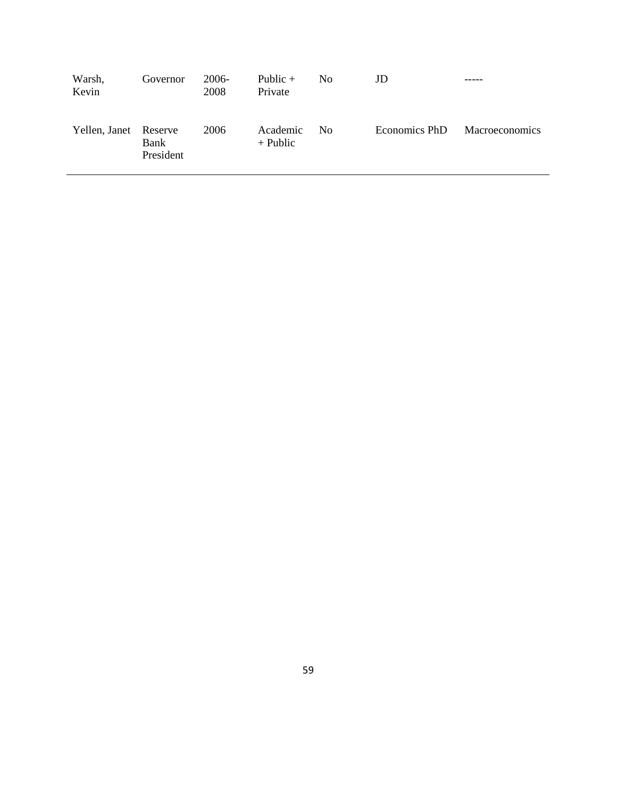| Warsh,<br>Kevin       | Governor          | 2006-<br>2008 | Public $+$<br>Private  | N <sub>0</sub> | JD            |                       |
|-----------------------|-------------------|---------------|------------------------|----------------|---------------|-----------------------|
| Yellen, Janet Reserve | Bank<br>President | 2006          | Academic<br>$+$ Public | N <sub>0</sub> | Economics PhD | <b>Macroeconomics</b> |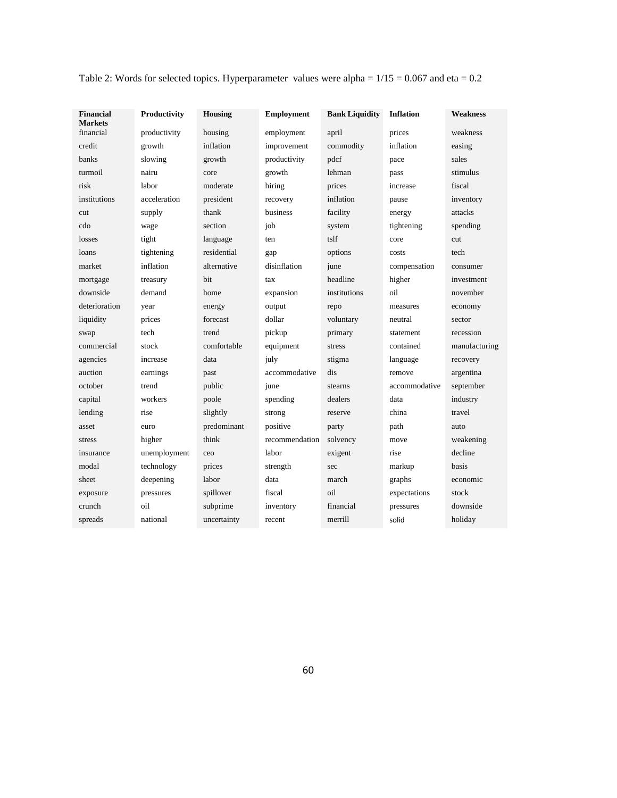| <b>Financial</b><br><b>Markets</b> | Productivity | Housing     | Employment     | <b>Bank Liquidity</b> | <b>Inflation</b> | <b>Weakness</b> |
|------------------------------------|--------------|-------------|----------------|-----------------------|------------------|-----------------|
| financial                          | productivity | housing     | employment     | april                 | prices           | weakness        |
| credit                             | growth       | inflation   | improvement    | commodity             | inflation        | easing          |
| banks                              | slowing      | growth      | productivity   | pdcf                  | pace             | sales           |
| turmoil                            | nairu        | core        | growth         | lehman                | pass             | stimulus        |
| risk                               | labor        | moderate    | hiring         | prices                | increase         | fiscal          |
| institutions                       | acceleration | president   | recovery       | inflation             | pause            | inventory       |
| cut                                | supply       | thank       | business       | facility              | energy           | attacks         |
| cdo                                | wage         | section     | job            | system                | tightening       | spending        |
| losses                             | tight        | language    | ten            | tslf                  | core             | cut             |
| loans                              | tightening   | residential | gap            | options               | costs            | tech            |
| market                             | inflation    | alternative | disinflation   | june                  | compensation     | consumer        |
| mortgage                           | treasury     | bit         | tax            | headline              | higher           | investment      |
| downside                           | demand       | home        | expansion      | institutions          | oil              | november        |
| deterioration                      | year         | energy      | output         | repo                  | measures         | economy         |
| liquidity                          | prices       | forecast    | dollar         | voluntary             | neutral          | sector          |
| swap                               | tech         | trend       | pickup         | primary               | statement        | recession       |
| commercial                         | stock        | comfortable | equipment      | stress                | contained        | manufacturing   |
| agencies                           | increase     | data        | july           | stigma                | language         | recovery        |
| auction                            | earnings     | past        | accommodative  | dis                   | remove           | argentina       |
| october                            | trend        | public      | june           | stearns               | accommodative    | september       |
| capital                            | workers      | poole       | spending       | dealers               | data             | industry        |
| lending                            | rise         | slightly    | strong         | reserve               | china            | travel          |
| asset                              | euro         | predominant | positive       | party                 | path             | auto            |
| stress                             | higher       | think       | recommendation | solvency              | move             | weakening       |
| insurance                          | unemployment | ceo         | labor          | exigent               | rise             | decline         |
| modal                              | technology   | prices      | strength       | sec                   | markup           | basis           |
| sheet                              | deepening    | labor       | data           | march                 | graphs           | economic        |
| exposure                           | pressures    | spillover   | fiscal         | oil                   | expectations     | stock           |
| crunch                             | oil          | subprime    | inventory      | financial             | pressures        | downside        |
| spreads                            | national     | uncertainty | recent         | merrill               | solid            | holiday         |

Table 2: Words for selected topics. Hyperparameter values were alpha =  $1/15 = 0.067$  and eta = 0.2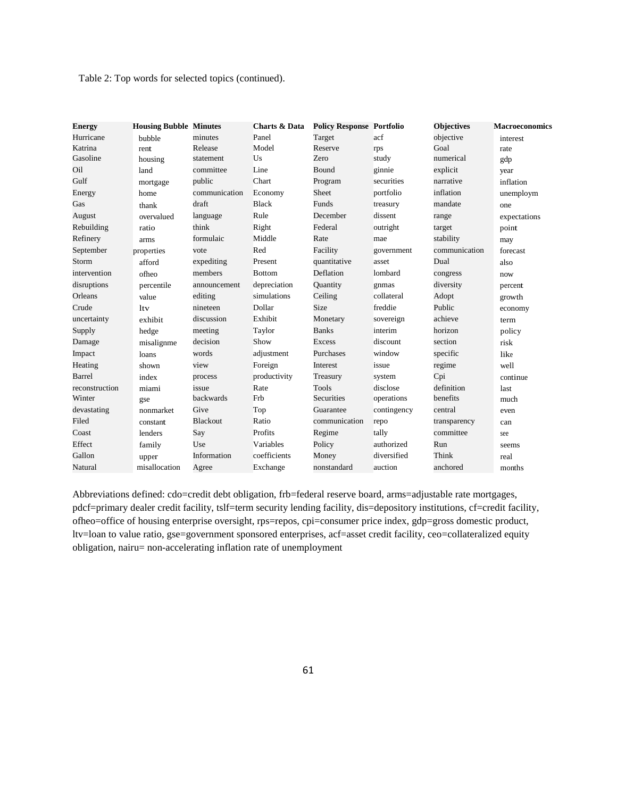Table 2: Top words for selected topics (continued).

| <b>Energy</b>  | <b>Housing Bubble Minutes</b> |                 | <b>Charts &amp; Data</b> | <b>Policy Response Portfolio</b> |             | <b>Objectives</b> | <b>Macroeconomics</b> |
|----------------|-------------------------------|-----------------|--------------------------|----------------------------------|-------------|-------------------|-----------------------|
| Hurricane      | bubble                        | minutes         | Panel                    | Target                           | acf         | objective         | interest              |
| Katrina        | rent                          | Release         | Model                    | Reserve                          | rps         | Goal              | rate                  |
| Gasoline       | housing                       | statement       | Us                       | Zero                             | study       | numerical         | gdp                   |
| Oil            | land                          | committee       | Line                     | Bound                            | ginnie      | explicit          | year                  |
| Gulf           | mortgage                      | public          | Chart                    | Program                          | securities  | narrative         | inflation             |
| Energy         | home                          | communication   | Economy                  | Sheet                            | portfolio   | inflation         | unemploym             |
| Gas            | thank                         | draft           | <b>Black</b>             | <b>Funds</b>                     | treasury    | mandate           | one                   |
| August         | overvalued                    | language        | Rule                     | December                         | dissent     | range             | expectations          |
| Rebuilding     | ratio                         | think           | Right                    | Federal                          | outright    | target            | point                 |
| Refinery       | arms                          | formulaic       | Middle                   | Rate                             | mae         | stability         | may                   |
| September      | properties                    | vote            | Red                      | Facility                         | government  | communication     | forecast              |
| Storm          | afford                        | expediting      | Present                  | quantitative                     | asset       | Dual              | also                  |
| intervention   | ofheo                         | members         | <b>Bottom</b>            | Deflation                        | lombard     | congress          | now                   |
| disruptions    | percentile                    | announcement    | depreciation             | Quantity                         | gnmas       | diversity         | percent               |
| Orleans        | value                         | editing         | simulations              | Ceiling                          | collateral  | Adopt             | growth                |
| Crude          | <b>ltv</b>                    | nineteen        | Dollar                   | <b>Size</b>                      | freddie     | Public            | economy               |
| uncertainty    | exhibit                       | discussion      | Exhibit                  | Monetary                         | sovereign   | achieve           | term                  |
| Supply         | hedge                         | meeting         | Taylor                   | <b>Banks</b>                     | interim     | horizon           | policy                |
| Damage         | misalignme                    | decision        | Show                     | Excess                           | discount    | section           | risk                  |
| Impact         | loans                         | words           | adjustment               | Purchases                        | window      | specific          | <b>like</b>           |
| Heating        | shown                         | view            | Foreign                  | Interest                         | issue       | regime            | well                  |
| Barrel         | index                         | process         | productivity             | Treasury                         | system      | Cpi               | continue              |
| reconstruction | miami                         | issue           | Rate                     | <b>Tools</b>                     | disclose    | definition        | last                  |
| Winter         | gse                           | backwards       | Frb                      | Securities                       | operations  | benefits          | much                  |
| devastating    | nonmarket                     | Give            | Top                      | Guarantee                        | contingency | central           | even                  |
| Filed          | constant                      | <b>Blackout</b> | Ratio                    | communication                    | repo        | transparency      | can                   |
| Coast          | lenders                       | Say             | Profits                  | Regime                           | tally       | committee         | see                   |
| Effect         | family                        | Use             | Variables                | Policy                           | authorized  | Run               | seems                 |
| Gallon         | upper                         | Information     | coefficients             | Money                            | diversified | Think             | real                  |
| Natural        | misallocation                 | Agree           | Exchange                 | nonstandard                      | auction     | anchored          | months                |

Abbreviations defined: cdo=credit debt obligation, frb=federal reserve board, arms=adjustable rate mortgages, pdcf=primary dealer credit facility, tslf=term security lending facility, dis=depository institutions, cf=credit facility, ofheo=office of housing enterprise oversight, rps=repos, cpi=consumer price index, gdp=gross domestic product, ltv=loan to value ratio, gse=government sponsored enterprises, acf=asset credit facility, ceo=collateralized equity obligation, nairu= non-accelerating inflation rate of unemployment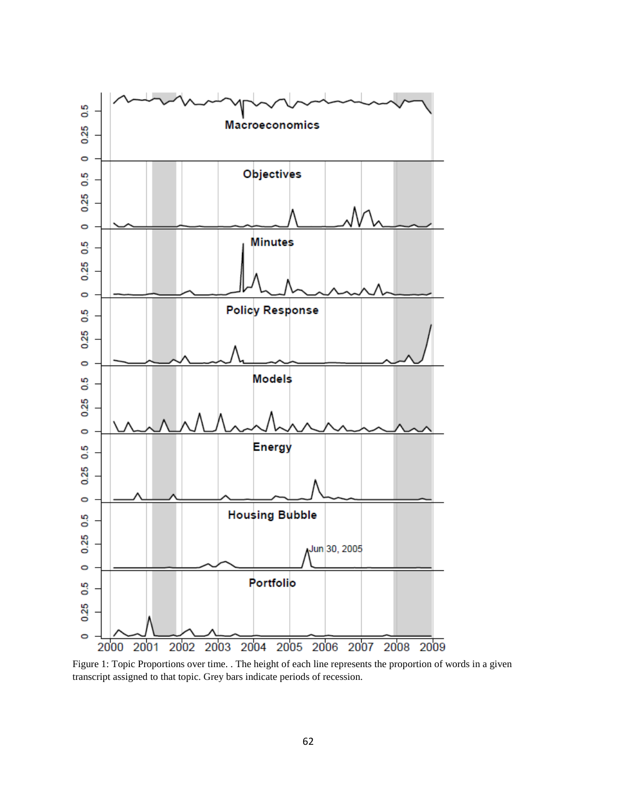

Figure 1: Topic Proportions over time. . The height of each line represents the proportion of words in a given transcript assigned to that topic. Grey bars indicate periods of recession.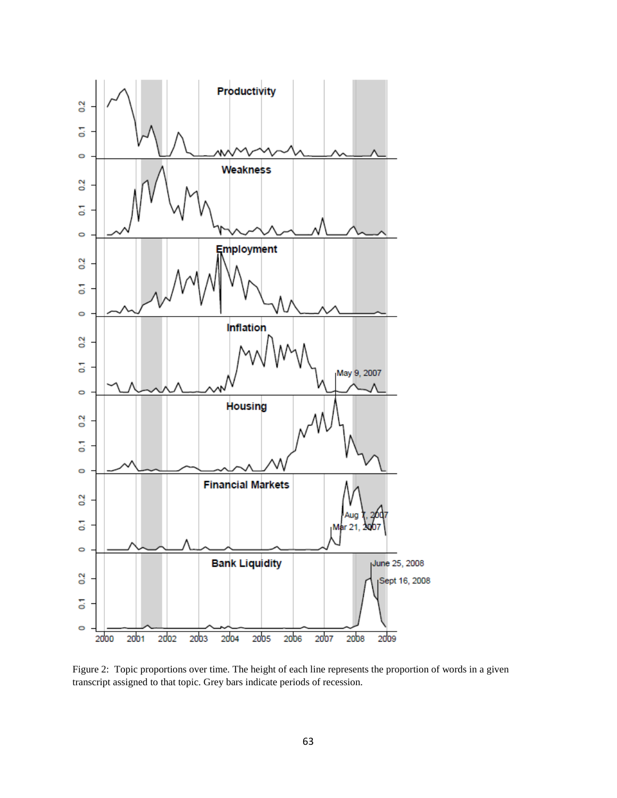

Figure 2: Topic proportions over time. The height of each line represents the proportion of words in a given transcript assigned to that topic. Grey bars indicate periods of recession.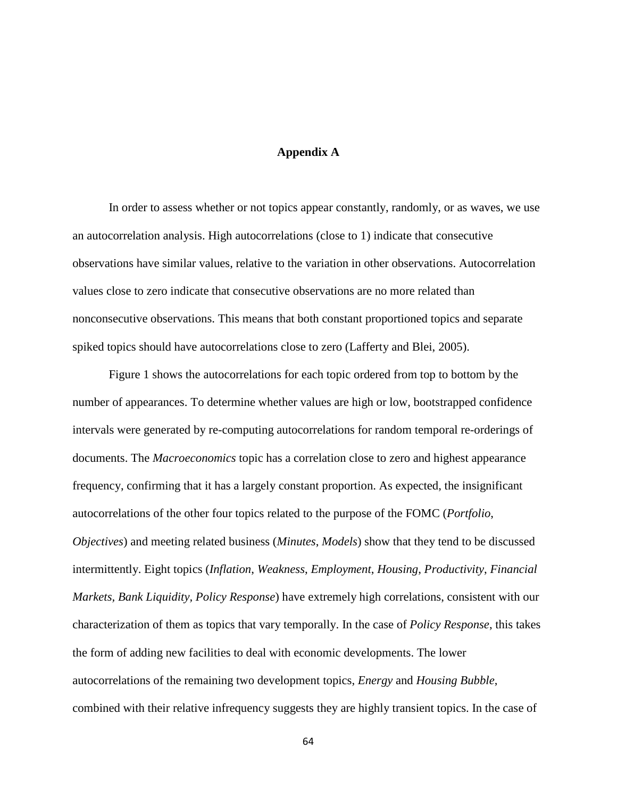# **Appendix A**

In order to assess whether or not topics appear constantly, randomly, or as waves, we use an autocorrelation analysis. High autocorrelations (close to 1) indicate that consecutive observations have similar values, relative to the variation in other observations. Autocorrelation values close to zero indicate that consecutive observations are no more related than nonconsecutive observations. This means that both constant proportioned topics and separate spiked topics should have autocorrelations close to zero (Lafferty and Blei, 2005).

Figure 1 shows the autocorrelations for each topic ordered from top to bottom by the number of appearances. To determine whether values are high or low, bootstrapped confidence intervals were generated by re-computing autocorrelations for random temporal re-orderings of documents. The *Macroeconomics* topic has a correlation close to zero and highest appearance frequency, confirming that it has a largely constant proportion. As expected, the insignificant autocorrelations of the other four topics related to the purpose of the FOMC (*Portfolio*, *Objectives*) and meeting related business (*Minutes*, *Models*) show that they tend to be discussed intermittently. Eight topics (*Inflation*, *Weakness*, *Employment*, *Housing*, *Productivity*, *Financial Markets, Bank Liquidity, Policy Response*) have extremely high correlations, consistent with our characterization of them as topics that vary temporally. In the case of *Policy Response*, this takes the form of adding new facilities to deal with economic developments. The lower autocorrelations of the remaining two development topics, *Energy* and *Housing Bubble*, combined with their relative infrequency suggests they are highly transient topics. In the case of